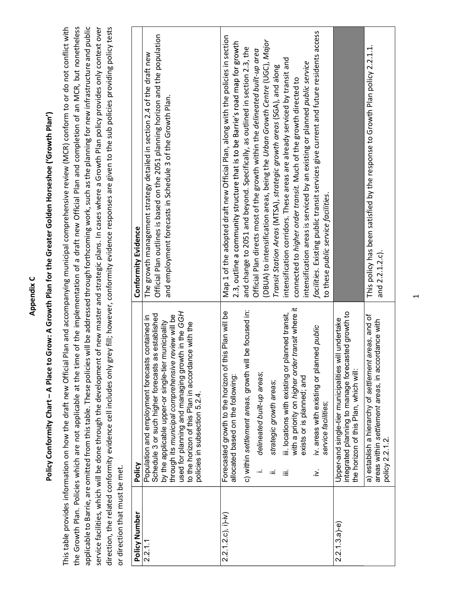|                                |                                                                                                                                                                                                                                                                                                                                                                | Appendix C                                                                                                                                                                                                                                                                                                                                                                                                                                                                                                                                                                                                                                                                                                           |
|--------------------------------|----------------------------------------------------------------------------------------------------------------------------------------------------------------------------------------------------------------------------------------------------------------------------------------------------------------------------------------------------------------|----------------------------------------------------------------------------------------------------------------------------------------------------------------------------------------------------------------------------------------------------------------------------------------------------------------------------------------------------------------------------------------------------------------------------------------------------------------------------------------------------------------------------------------------------------------------------------------------------------------------------------------------------------------------------------------------------------------------|
|                                | Policy Conformity Chart - A Place to                                                                                                                                                                                                                                                                                                                           | Grow: A Growth Plan for the Greater Golden Horseshoe ('Growth Plan')                                                                                                                                                                                                                                                                                                                                                                                                                                                                                                                                                                                                                                                 |
| or direction that must be met. | This table provides information on how the draft new Official<br>the Growth Plan. Policies which are not applicable at the tim                                                                                                                                                                                                                                 | Plan and accompanying municipal comprehensive review (MCR) conform to or do not conflict with<br>applicable to Barrie, are omitted from this table. These policies will be addressed through forthcoming work, such as the planning for new infrastructure and public<br>direction, the related conformity evidence cell includes only grey fill; however, conformity evidence responses are given to the sub policies providing policy tests<br>ne of the implementation of a draft new Official Plan and completion of an MCR, but nonetheless<br>service facilities, which will be done through the development of new master and strategic plans. In cases where a Growth Plan policy provides only context over |
| Policy Number                  | Policy                                                                                                                                                                                                                                                                                                                                                         | Conformity Evidence                                                                                                                                                                                                                                                                                                                                                                                                                                                                                                                                                                                                                                                                                                  |
| 2.2.1.1                        | used for planning and managing growth in the GGH<br>Schedule 3 or such higher forecasts as established<br>through its municipal comprehensive review will be<br>Population and employment forecasts contained in<br>by the applicable upper-or single-tier municipality<br>to the horizon of this Plan in accordance with the<br>policies in subsection 5.2.4. | Official Plan outlines is based on the 2051 planning horizon and the population<br>growth management strategy detailed in section 2.4 of the draft new<br>and employment forecasts in Schedule 3 of the Growth Plan.<br>The                                                                                                                                                                                                                                                                                                                                                                                                                                                                                          |
| $2.2.1.2.c$ ), i)-iv)          | Forecasted growth to the horizon of this Plan will be                                                                                                                                                                                                                                                                                                          | Map 1 of the adopted draft new Official Plan, along with the policies in section                                                                                                                                                                                                                                                                                                                                                                                                                                                                                                                                                                                                                                     |
|                                | allocated based on the following:                                                                                                                                                                                                                                                                                                                              | 2.3, outline a community structure that is to be Barrie's road map for growth                                                                                                                                                                                                                                                                                                                                                                                                                                                                                                                                                                                                                                        |
|                                | be focused in:<br>c) within settlement areas, growth will                                                                                                                                                                                                                                                                                                      | and change to 2051 and beyond. Specifically, as outlined in section 2.3, the                                                                                                                                                                                                                                                                                                                                                                                                                                                                                                                                                                                                                                         |
|                                | delineated built-up areas;<br>÷.                                                                                                                                                                                                                                                                                                                               | Official Plan directs most of the growth within the delineated built-up area                                                                                                                                                                                                                                                                                                                                                                                                                                                                                                                                                                                                                                         |
|                                | strategic growth areas;<br>$:=$                                                                                                                                                                                                                                                                                                                                | (DBUA) to intensification areas, being the Urban Growth Centre (UGC), Major<br>Transit Station Areas (MTSA), strategic growth areas (SGA), and along                                                                                                                                                                                                                                                                                                                                                                                                                                                                                                                                                                 |
|                                | with a priority on higher order transit where it<br>lanned transit,<br>iii. locations with existing or p<br>exists or is planned; and<br>≡                                                                                                                                                                                                                     | intensification corridors. These areas are already serviced by transit and<br>intensification areas is serviced by an existing or planned public service<br>connected to higher order transit. Much of the growth directed to                                                                                                                                                                                                                                                                                                                                                                                                                                                                                        |
|                                | iv. areas with existing or planned public<br>service facilities;<br>$\geq$                                                                                                                                                                                                                                                                                     | facilities. Existing public transit services give current and future residents access<br>to these public service facilities.                                                                                                                                                                                                                                                                                                                                                                                                                                                                                                                                                                                         |
| $2.2.1.3.a$ )-e)               | sted growth to<br>Upper-and single-tier municipalities will undertake<br>integrated planning to manage foreca<br>the horizon of this Plan, which will:                                                                                                                                                                                                         |                                                                                                                                                                                                                                                                                                                                                                                                                                                                                                                                                                                                                                                                                                                      |
|                                | areas, and of<br>areas within settlement areas, in accordance with<br>a) establish a hierarchy of settlement<br>policy 2.2.1.2.                                                                                                                                                                                                                                | This policy has been satisfied by the response to Growth Plan policy 2.2.1.1.<br>and 2.2.1.2.c).                                                                                                                                                                                                                                                                                                                                                                                                                                                                                                                                                                                                                     |
|                                |                                                                                                                                                                                                                                                                                                                                                                |                                                                                                                                                                                                                                                                                                                                                                                                                                                                                                                                                                                                                                                                                                                      |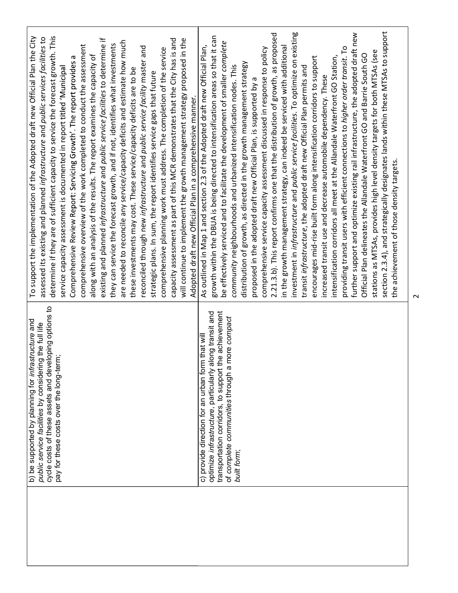| cycle costs of these assets and developing options to<br>structure and<br>g the full life<br>b) be supported by planning for infra<br>public service facilities by considerin | To support the implementation of the Adopted draft new Official Plan the City<br>assessed its existing and planned infrastructure and public services facilities to |
|-------------------------------------------------------------------------------------------------------------------------------------------------------------------------------|---------------------------------------------------------------------------------------------------------------------------------------------------------------------|
| pay for these costs over the long-term;                                                                                                                                       | determine if they are of sufficient capacity to service the forecast growth. This<br>service capacity assessment is documented in report titled 'Municipal          |
|                                                                                                                                                                               | Comprehensive Review Report: Servicing Growth'. The report provides a                                                                                               |
|                                                                                                                                                                               | comprehensive overview of the work completed to conduct the assessment                                                                                              |
|                                                                                                                                                                               | along with an analysis of the results. The report examines the capacity of                                                                                          |
|                                                                                                                                                                               | existing and planned infrastructure and public service facilities to determine if                                                                                   |
|                                                                                                                                                                               | they can service the forecast growth, and if not, identifies what investments                                                                                       |
|                                                                                                                                                                               | are needed to reconcile any service/capacity deficits and estimate how much                                                                                         |
|                                                                                                                                                                               | these investments may cost. These service/capacity deficits are to be                                                                                               |
|                                                                                                                                                                               | reconciled through new infrastructure and public service facility master and                                                                                        |
|                                                                                                                                                                               | strategic plans. In sum, the report identifies service gaps that future                                                                                             |
|                                                                                                                                                                               | comprehensive planning work must address. The completion of the service                                                                                             |
|                                                                                                                                                                               | capacity assessment as part of this MCR demonstrates that the City has is and                                                                                       |
|                                                                                                                                                                               | will continue to implement the growth management strategy proposed in the                                                                                           |
|                                                                                                                                                                               | Adopted draft new Official Plan in a comprehensive manner.                                                                                                          |
| c) provide direction for an urban form that will                                                                                                                              | As outlined in Map 1 and section 2.3 of the Adopted draft new Official Plan,                                                                                        |
| optimize infrastructure, particularly along transit and                                                                                                                       | growth within the DBUA is being directed to intensification areas so that it can                                                                                    |
| transportation corridors, to support the achievement<br>of complete communities through a                                                                                     | be effectively serviced and to facilitate the development of smaller complete                                                                                       |
| more compact<br>built form;                                                                                                                                                   | community neighbourhoods and urbanized intensification nodes. This                                                                                                  |
|                                                                                                                                                                               | distribution of growth, as directed in the growth management strategy                                                                                               |
|                                                                                                                                                                               | proposed in the adopted draft new Official Plan, is supported by a                                                                                                  |
|                                                                                                                                                                               | comprehensive service capacity assessment discussed in response to policy                                                                                           |
|                                                                                                                                                                               | 2.21.3.b). This report confirms one that the distribution of growth, as proposed                                                                                    |
|                                                                                                                                                                               | in the growth management strategy, can indeed be serviced with additional                                                                                           |
|                                                                                                                                                                               | investment in infrastructure and public service facilities. To optimize on existing                                                                                 |
|                                                                                                                                                                               | transit infrastructure, the adopted draft new Official Plan permits and                                                                                             |
|                                                                                                                                                                               | encourages mid-rise built form along intensification corridors to support                                                                                           |
|                                                                                                                                                                               | increased transit use and decrease automobile dependency. These                                                                                                     |
|                                                                                                                                                                               | intensification corridors all meet at the Allandale Waterfront GO Station,                                                                                          |
|                                                                                                                                                                               | providing transit users with efficient connections to higher order transit. To                                                                                      |
|                                                                                                                                                                               | further support and optimize existing rail infrastructure, the adopted draft new                                                                                    |
|                                                                                                                                                                               | Official Plan delineates the Allandale Waterfront GO and Barrie South GO                                                                                            |
|                                                                                                                                                                               | stations as MTSAs, provides high level density targets for both MTSAs (see                                                                                          |
|                                                                                                                                                                               | section 2.3.4), and strategically designates lands within these MTSAs to support                                                                                    |
|                                                                                                                                                                               | the achievement of those density targets.                                                                                                                           |

 $\sim$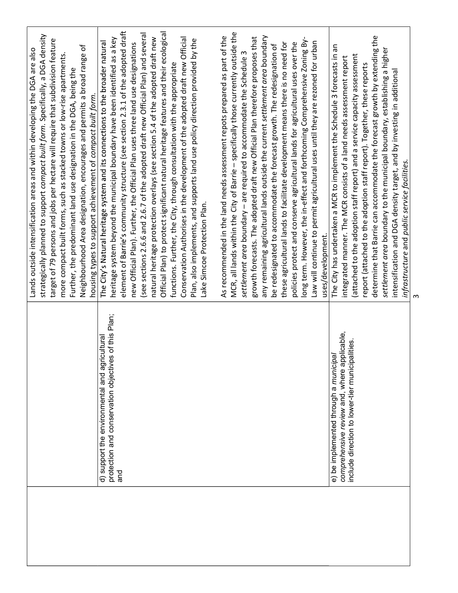|                                                                                                                                             | strategically planned to support compact built form. Specifically, a DGA density<br>target of 79 persons and jobs per hectare will require that subdivision feature<br>Neighbourhood Area designation, encourages and permits a broad range of<br>Lands outside intensification areas and within developing the DGA are also<br>more compact built forms, such as stacked towns or low-rise apartments<br>Further, the predominant land use designation in the DGA, being the<br>housing types to support achievement of compact built form.                                                                                                                                                                                                                                                                                                                                  |
|---------------------------------------------------------------------------------------------------------------------------------------------|-------------------------------------------------------------------------------------------------------------------------------------------------------------------------------------------------------------------------------------------------------------------------------------------------------------------------------------------------------------------------------------------------------------------------------------------------------------------------------------------------------------------------------------------------------------------------------------------------------------------------------------------------------------------------------------------------------------------------------------------------------------------------------------------------------------------------------------------------------------------------------|
| protection and conservation objectives of this Plan;<br>d) support the environmental and agricultural<br>and                                | element of Barrie's community structure (see section 2.3.1 of the adopted draft<br>Official Plan) to protect significant natural heritage features and their ecological<br>(see sections 2.6.6 and 2.6.7 of the adopted draft new Official Plan) and several<br>natural heritage protection overlays (see section 5.4 of the adopted draft new<br>Conservation Authorises in the development of the adopted draft new Official<br>heritage system beyond the municipal boundary have been identified as a key<br>Plan, also implements, and supports land use policy direction provided by the<br>The City's Natural heritage system and its connections to the broader natural<br>new Official Plan). Further, the Official Plan uses three land use designations<br>functions. Further, the City, through consultation with the appropriate<br>Lake Simcoe Protection Plan. |
|                                                                                                                                             | MCR, all lands within the City of Barrie - specifically those currently outside the<br>any remaining agricultural lands outside the current settlement area boundary<br>As recommended in the land needs assessment repots prepared as part of the<br>growth forecasts. The adopted draft new Official Plan therefore proposes that<br>long term. However, the in-effect and forthcoming Comprehensive Zoning By-<br>Law will continue to permit agricultural uses until they are rezoned for urban<br>policies protect and conserve agricultural lands for agricultural uses over the<br>these agricultural lands to facilitate development means there is no need for<br>be redesignated to accommodate the forecast growth. The redesignation of<br>settlement area boundary - are required to accommodate the Schedule 3<br>uses/development.                             |
| comprehensive review and, where applicable,<br>alities.<br>e) be implemented through a municipal<br>include direction to lower-tier municip | determine that Barrie can accommodate the forecast growth by extending the<br>The City has undertaken a MCR to implement the Schedule 3 forecasts in an<br>settlement area boundary to the municipal boundary, establishing a higher<br>(attached to the adoption staff report) and a service capacity assessment<br>integrated manner. The MCR consists of a land needs assessment report<br>report (attached to the adoption staff report). Together, these reports<br>intensification and DGA density target, and by investing in additional<br>infrastructure and public service facilities.                                                                                                                                                                                                                                                                              |
|                                                                                                                                             |                                                                                                                                                                                                                                                                                                                                                                                                                                                                                                                                                                                                                                                                                                                                                                                                                                                                               |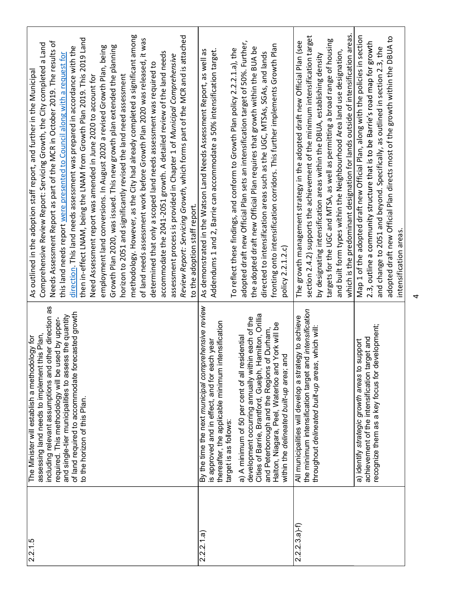| which is the predominant designation for lands outside of intensification areas.<br>methodology. However, as the City had already completed a significant among<br>Review Report: Servicing Growth, which forms part of the MCR and is attached<br>Map 1 of the adopted draft new Official Plan, along with the policies in section<br>section 2.4.2) supports the achievement of the minimum intensification target<br>adopted draft new Official Plan directs most of the growth within the DBUA to<br>then in-effect LNAM, being the LNAM from Growth Plan 2019. This 2019 Land<br>of land needs assessment work before Growth Plan 2020 was released, it was<br>targets for the UGC and MTSA, as well as permitting a broad range of housing<br>The growth management strategy in the adopted draft new Official Plan (see<br>2.3, outline a community structure that is to be Barrie's road map for growth<br>adopted draft new Official Plan sets an intensification target of 50%. Further,<br>Needs Assessment Report as part of the MCR in October 2019. The results of<br>Comprehensive Review Report: Servicing Growth, the City completed a Land<br>fronting onto intensification corridors. This further implements Growth Plan<br>Growth Plan 2020, was issued. This new growth plan extended the planning<br>employment land conversions. In August 2020 a revised Growth Plan, being<br>direction. This land needs assessment was prepared in accordance with the<br>the adopted draft new Official Plan requires that growth within the BUA be<br>and change to 2051 and beyond. Specifically, as outlined in section 2.3, the<br>To reflect these findings, and conform to Growth Plan policy 2.2.2.1.a), the<br>is 1 and 2, Barrie can accommodate a 50% intensification target.<br>As demonstrated in the Watson Land Needs Assessment Report, as well as<br>and built form types within the Neighbourhood Area land use designation,<br>accommodate the 2041-2051 growth. A detailed review of the land needs<br>directed to intensification areas such as the UGC, MTSAs, SGAs, and lands<br>this land needs report were presented to Council along with a request for<br>by designating intensification areas within the DBUA, establishing density<br>assessment process is provided in Chapter 1 of Municipal Comprehensive<br>determined that only a scoped land needs assessment was required to<br>Need Assessment report was amended in June 2020 to account for<br>horizon to 2051 and significantly revised the land need assessment<br>to the adoption staff report.<br>intensification areas.<br>1.2.c<br>Addendum<br>policy 2.2.1<br>By the time the next municipal comprehensive review<br>including relevant assumptions and other direction as<br>the minimum intensification target and intensification<br>of land required to accommodate forecasted growth<br>Cities of Barrie, Brantford, Guelph, Hamilton, Orillia<br>and single-tier municipalities to assess the quantity<br>All municipalities will develop a strategy to achieve<br>development occurring annually within each of the<br>required. This methodology will be used by upper-<br>thereafter, the applicable minimum intensification<br>Halton, Niagara, Peel, Waterloo and York will be<br>recognize them as a key focus for development;<br>throughout delineated built-up areas, which will:<br>and Peterborough and the Regions of Durham,<br>assessing land needs to implement this Plan,<br>a) A minimum of 50 per cent of all residential<br>achievement of the intensification target and<br>s approved and in effect, and for each year<br>a) identify strategic growth areas to support<br>within the delineated built-up area; and<br>to the horizon of this Plan.<br>target is as follows: |                                                                        |                |
|------------------------------------------------------------------------------------------------------------------------------------------------------------------------------------------------------------------------------------------------------------------------------------------------------------------------------------------------------------------------------------------------------------------------------------------------------------------------------------------------------------------------------------------------------------------------------------------------------------------------------------------------------------------------------------------------------------------------------------------------------------------------------------------------------------------------------------------------------------------------------------------------------------------------------------------------------------------------------------------------------------------------------------------------------------------------------------------------------------------------------------------------------------------------------------------------------------------------------------------------------------------------------------------------------------------------------------------------------------------------------------------------------------------------------------------------------------------------------------------------------------------------------------------------------------------------------------------------------------------------------------------------------------------------------------------------------------------------------------------------------------------------------------------------------------------------------------------------------------------------------------------------------------------------------------------------------------------------------------------------------------------------------------------------------------------------------------------------------------------------------------------------------------------------------------------------------------------------------------------------------------------------------------------------------------------------------------------------------------------------------------------------------------------------------------------------------------------------------------------------------------------------------------------------------------------------------------------------------------------------------------------------------------------------------------------------------------------------------------------------------------------------------------------------------------------------------------------------------------------------------------------------------------------------------------------------------------------------------------------------------------------------------------------------------------------------------------------------------------------------------------------------------------------------------------------------------------------------------------------------------------------------------------------------------------------------------------------------------------------------------------------------------------------------------------------------------------------------------------------------------------------------------------------------------------------------------------------------------------------------------------------------------------------------------------------------------------------------------------------------------------------------------------------------------------------|------------------------------------------------------------------------|----------------|
|                                                                                                                                                                                                                                                                                                                                                                                                                                                                                                                                                                                                                                                                                                                                                                                                                                                                                                                                                                                                                                                                                                                                                                                                                                                                                                                                                                                                                                                                                                                                                                                                                                                                                                                                                                                                                                                                                                                                                                                                                                                                                                                                                                                                                                                                                                                                                                                                                                                                                                                                                                                                                                                                                                                                                                                                                                                                                                                                                                                                                                                                                                                                                                                                                                                                                                                                                                                                                                                                                                                                                                                                                                                                                                                                                                                                                  |                                                                        |                |
|                                                                                                                                                                                                                                                                                                                                                                                                                                                                                                                                                                                                                                                                                                                                                                                                                                                                                                                                                                                                                                                                                                                                                                                                                                                                                                                                                                                                                                                                                                                                                                                                                                                                                                                                                                                                                                                                                                                                                                                                                                                                                                                                                                                                                                                                                                                                                                                                                                                                                                                                                                                                                                                                                                                                                                                                                                                                                                                                                                                                                                                                                                                                                                                                                                                                                                                                                                                                                                                                                                                                                                                                                                                                                                                                                                                                                  |                                                                        |                |
|                                                                                                                                                                                                                                                                                                                                                                                                                                                                                                                                                                                                                                                                                                                                                                                                                                                                                                                                                                                                                                                                                                                                                                                                                                                                                                                                                                                                                                                                                                                                                                                                                                                                                                                                                                                                                                                                                                                                                                                                                                                                                                                                                                                                                                                                                                                                                                                                                                                                                                                                                                                                                                                                                                                                                                                                                                                                                                                                                                                                                                                                                                                                                                                                                                                                                                                                                                                                                                                                                                                                                                                                                                                                                                                                                                                                                  |                                                                        | $2.2.2.3.a)-f$ |
|                                                                                                                                                                                                                                                                                                                                                                                                                                                                                                                                                                                                                                                                                                                                                                                                                                                                                                                                                                                                                                                                                                                                                                                                                                                                                                                                                                                                                                                                                                                                                                                                                                                                                                                                                                                                                                                                                                                                                                                                                                                                                                                                                                                                                                                                                                                                                                                                                                                                                                                                                                                                                                                                                                                                                                                                                                                                                                                                                                                                                                                                                                                                                                                                                                                                                                                                                                                                                                                                                                                                                                                                                                                                                                                                                                                                                  |                                                                        |                |
|                                                                                                                                                                                                                                                                                                                                                                                                                                                                                                                                                                                                                                                                                                                                                                                                                                                                                                                                                                                                                                                                                                                                                                                                                                                                                                                                                                                                                                                                                                                                                                                                                                                                                                                                                                                                                                                                                                                                                                                                                                                                                                                                                                                                                                                                                                                                                                                                                                                                                                                                                                                                                                                                                                                                                                                                                                                                                                                                                                                                                                                                                                                                                                                                                                                                                                                                                                                                                                                                                                                                                                                                                                                                                                                                                                                                                  |                                                                        | 2.2.2.1.a      |
|                                                                                                                                                                                                                                                                                                                                                                                                                                                                                                                                                                                                                                                                                                                                                                                                                                                                                                                                                                                                                                                                                                                                                                                                                                                                                                                                                                                                                                                                                                                                                                                                                                                                                                                                                                                                                                                                                                                                                                                                                                                                                                                                                                                                                                                                                                                                                                                                                                                                                                                                                                                                                                                                                                                                                                                                                                                                                                                                                                                                                                                                                                                                                                                                                                                                                                                                                                                                                                                                                                                                                                                                                                                                                                                                                                                                                  |                                                                        |                |
|                                                                                                                                                                                                                                                                                                                                                                                                                                                                                                                                                                                                                                                                                                                                                                                                                                                                                                                                                                                                                                                                                                                                                                                                                                                                                                                                                                                                                                                                                                                                                                                                                                                                                                                                                                                                                                                                                                                                                                                                                                                                                                                                                                                                                                                                                                                                                                                                                                                                                                                                                                                                                                                                                                                                                                                                                                                                                                                                                                                                                                                                                                                                                                                                                                                                                                                                                                                                                                                                                                                                                                                                                                                                                                                                                                                                                  |                                                                        |                |
|                                                                                                                                                                                                                                                                                                                                                                                                                                                                                                                                                                                                                                                                                                                                                                                                                                                                                                                                                                                                                                                                                                                                                                                                                                                                                                                                                                                                                                                                                                                                                                                                                                                                                                                                                                                                                                                                                                                                                                                                                                                                                                                                                                                                                                                                                                                                                                                                                                                                                                                                                                                                                                                                                                                                                                                                                                                                                                                                                                                                                                                                                                                                                                                                                                                                                                                                                                                                                                                                                                                                                                                                                                                                                                                                                                                                                  |                                                                        |                |
|                                                                                                                                                                                                                                                                                                                                                                                                                                                                                                                                                                                                                                                                                                                                                                                                                                                                                                                                                                                                                                                                                                                                                                                                                                                                                                                                                                                                                                                                                                                                                                                                                                                                                                                                                                                                                                                                                                                                                                                                                                                                                                                                                                                                                                                                                                                                                                                                                                                                                                                                                                                                                                                                                                                                                                                                                                                                                                                                                                                                                                                                                                                                                                                                                                                                                                                                                                                                                                                                                                                                                                                                                                                                                                                                                                                                                  |                                                                        |                |
|                                                                                                                                                                                                                                                                                                                                                                                                                                                                                                                                                                                                                                                                                                                                                                                                                                                                                                                                                                                                                                                                                                                                                                                                                                                                                                                                                                                                                                                                                                                                                                                                                                                                                                                                                                                                                                                                                                                                                                                                                                                                                                                                                                                                                                                                                                                                                                                                                                                                                                                                                                                                                                                                                                                                                                                                                                                                                                                                                                                                                                                                                                                                                                                                                                                                                                                                                                                                                                                                                                                                                                                                                                                                                                                                                                                                                  |                                                                        |                |
|                                                                                                                                                                                                                                                                                                                                                                                                                                                                                                                                                                                                                                                                                                                                                                                                                                                                                                                                                                                                                                                                                                                                                                                                                                                                                                                                                                                                                                                                                                                                                                                                                                                                                                                                                                                                                                                                                                                                                                                                                                                                                                                                                                                                                                                                                                                                                                                                                                                                                                                                                                                                                                                                                                                                                                                                                                                                                                                                                                                                                                                                                                                                                                                                                                                                                                                                                                                                                                                                                                                                                                                                                                                                                                                                                                                                                  |                                                                        |                |
|                                                                                                                                                                                                                                                                                                                                                                                                                                                                                                                                                                                                                                                                                                                                                                                                                                                                                                                                                                                                                                                                                                                                                                                                                                                                                                                                                                                                                                                                                                                                                                                                                                                                                                                                                                                                                                                                                                                                                                                                                                                                                                                                                                                                                                                                                                                                                                                                                                                                                                                                                                                                                                                                                                                                                                                                                                                                                                                                                                                                                                                                                                                                                                                                                                                                                                                                                                                                                                                                                                                                                                                                                                                                                                                                                                                                                  |                                                                        |                |
|                                                                                                                                                                                                                                                                                                                                                                                                                                                                                                                                                                                                                                                                                                                                                                                                                                                                                                                                                                                                                                                                                                                                                                                                                                                                                                                                                                                                                                                                                                                                                                                                                                                                                                                                                                                                                                                                                                                                                                                                                                                                                                                                                                                                                                                                                                                                                                                                                                                                                                                                                                                                                                                                                                                                                                                                                                                                                                                                                                                                                                                                                                                                                                                                                                                                                                                                                                                                                                                                                                                                                                                                                                                                                                                                                                                                                  |                                                                        |                |
|                                                                                                                                                                                                                                                                                                                                                                                                                                                                                                                                                                                                                                                                                                                                                                                                                                                                                                                                                                                                                                                                                                                                                                                                                                                                                                                                                                                                                                                                                                                                                                                                                                                                                                                                                                                                                                                                                                                                                                                                                                                                                                                                                                                                                                                                                                                                                                                                                                                                                                                                                                                                                                                                                                                                                                                                                                                                                                                                                                                                                                                                                                                                                                                                                                                                                                                                                                                                                                                                                                                                                                                                                                                                                                                                                                                                                  |                                                                        |                |
| The Minister will establish a methodology for<br>2.2.1.5                                                                                                                                                                                                                                                                                                                                                                                                                                                                                                                                                                                                                                                                                                                                                                                                                                                                                                                                                                                                                                                                                                                                                                                                                                                                                                                                                                                                                                                                                                                                                                                                                                                                                                                                                                                                                                                                                                                                                                                                                                                                                                                                                                                                                                                                                                                                                                                                                                                                                                                                                                                                                                                                                                                                                                                                                                                                                                                                                                                                                                                                                                                                                                                                                                                                                                                                                                                                                                                                                                                                                                                                                                                                                                                                                         | As outlined in the adoption staff report, and further in the Municipal |                |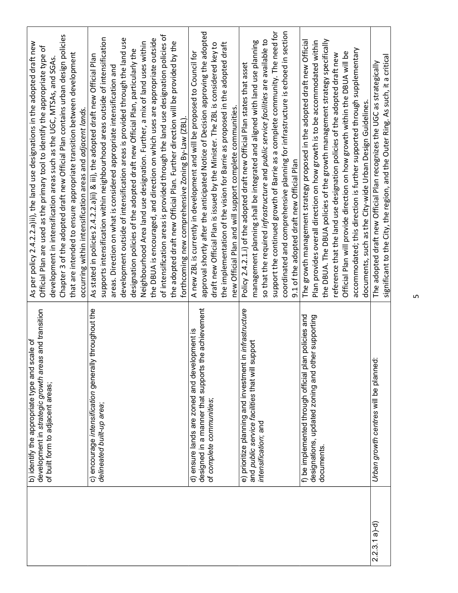|                 | is and transition<br>b) identify the appropriate type and scale of<br>development in strategic growth area | As per policy 2.4.2.2.a)ii), the land use designations in the adopted draft new<br>Official Plan are used as the primary tool to identify the appropriate type of |
|-----------------|------------------------------------------------------------------------------------------------------------|-------------------------------------------------------------------------------------------------------------------------------------------------------------------|
|                 | of built form to adjacent areas;                                                                           | development in intensification areas such as the UGC, MTSAs, and SGAs.                                                                                            |
|                 |                                                                                                            | Chapter 3 of the adopted draft new Official Plan contains urban design policies                                                                                   |
|                 |                                                                                                            | that are intended to ensure appropriate transition between development<br>occurring within intensification areas and adjacent lands.                              |
|                 | c) encourage intensification generally throughout the                                                      | As stated in policies 2.4.2.2.a)ii) & iii), the adopted draft new Official Plan                                                                                   |
|                 | delineated built-up area;                                                                                  | supports intensification within neighbourhood areas outside of intensification                                                                                    |
|                 |                                                                                                            | areas. Direction on what is considered appropriate intensification and                                                                                            |
|                 |                                                                                                            | development outside of intensification areas is provided through the land use                                                                                     |
|                 |                                                                                                            | designation policies of the adopted draft new Official Plan, particularly the                                                                                     |
|                 |                                                                                                            | Neighbourhood Area land use designation. Further, a mix of land uses within                                                                                       |
|                 |                                                                                                            | the DBUA is encouraged, and direction on which uses are appropriate outside                                                                                       |
|                 |                                                                                                            | of intensification areas is provided through the land use designation policies of                                                                                 |
|                 |                                                                                                            | the adopted draft new Official Plan. Further direction will be provided by the<br>forthcoming new comprehensive Zoning By-Law (ZBL).                              |
|                 | d) ensure lands are zoned and development is                                                               | A new ZBL is currently in development and will be proposed to Council for                                                                                         |
|                 | designed in a manner that supports the achievement                                                         | approval shortly after the anticipated Notice of Decision approving the adopted                                                                                   |
|                 | of complete communities;                                                                                   | draft new Official Plan is issued by the Minister. The ZBL is considered key to                                                                                   |
|                 |                                                                                                            | the implementation of the vision for Barrie as proposed in the adopted draft                                                                                      |
|                 |                                                                                                            | new Official Plan and will support complete communities.                                                                                                          |
|                 | e) prioritize planning and investment in infrastructure                                                    | Policy 2.4.2.1.i) of the adopted draft new Official Plan states that asset                                                                                        |
|                 | and public service facilities that will support                                                            | management planning shall be integrated and aligned with land use planning                                                                                        |
|                 | intensification; and                                                                                       | so that the required infrastructure and public service facilities are available to                                                                                |
|                 |                                                                                                            | support the continued growth of Barrie as a complete community. The need for                                                                                      |
|                 |                                                                                                            | coordinated and comprehensive planning for infrastructure is echoed in section                                                                                    |
|                 |                                                                                                            | 9.1 of the adopted draft new Official Plan                                                                                                                        |
|                 | f) be implemented through official plan policies and                                                       | The growth management strategy proposed in the adopted draft new Official                                                                                         |
|                 | designations, updated zoning and other supporting                                                          | Plan provides overall direction on how growth is to be accommodated within                                                                                        |
|                 | documents.                                                                                                 | the DBUA. The DBUA policies of the growth management strategy specifically                                                                                        |
|                 |                                                                                                            | reference that the land use designation policies of the adopted draft new                                                                                         |
|                 |                                                                                                            | Official Plan will provide direction on how growth within the DBUA will be                                                                                        |
|                 |                                                                                                            | accommodated; this direction is further supported through supplementary                                                                                           |
| $2.2.3.1$ a)-d) |                                                                                                            | documents, such as the City-wide Urban Design Guidelines.                                                                                                         |
|                 | Urban growth centres will be planned:                                                                      | significant to the City, the region, and the Outer Ring. As such, it a critical<br>The adopted draft new Official Plan recognizes the UGC as strategically        |
|                 |                                                                                                            |                                                                                                                                                                   |
|                 |                                                                                                            |                                                                                                                                                                   |
|                 |                                                                                                            | S                                                                                                                                                                 |
|                 |                                                                                                            |                                                                                                                                                                   |
|                 |                                                                                                            |                                                                                                                                                                   |
|                 |                                                                                                            |                                                                                                                                                                   |
|                 |                                                                                                            |                                                                                                                                                                   |
|                 |                                                                                                            |                                                                                                                                                                   |
|                 |                                                                                                            |                                                                                                                                                                   |
|                 |                                                                                                            |                                                                                                                                                                   |
|                 |                                                                                                            |                                                                                                                                                                   |
|                 |                                                                                                            |                                                                                                                                                                   |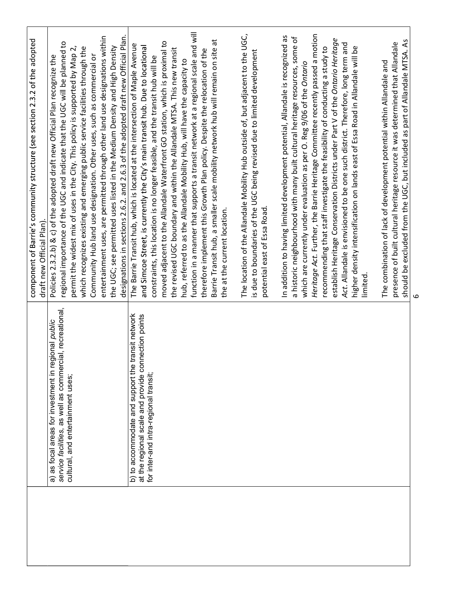|                                                                                                                                                      | component of Barrie's community structure (see section 2.3.2 of the adopted<br>draft new Official Plan).                                                                                                                                                                                                                                                                                                                                                                                                                                                                                                                                                                                                                                                                      |
|------------------------------------------------------------------------------------------------------------------------------------------------------|-------------------------------------------------------------------------------------------------------------------------------------------------------------------------------------------------------------------------------------------------------------------------------------------------------------------------------------------------------------------------------------------------------------------------------------------------------------------------------------------------------------------------------------------------------------------------------------------------------------------------------------------------------------------------------------------------------------------------------------------------------------------------------|
| service facilities, as well as commercial, recreational,<br>a) as focal areas for investment in regional public<br>cultural, and entertainment uses; | designations in sections 2.6.2. and 2.6.3 of the adopted draft new Official Plan.<br>entertainment uses, are permitted through other land use designations within<br>regional importance of the UGC and indicate that the UGC will be planned to<br>permit the widest mix of uses in the City. This policy is supported by Map 2,<br>the UGC; see permitted uses listed in the Medium Density and High Density<br>which recognizes existing and emerging public service facilities through the<br>Community Hub land use designation. Other uses, such as commercial or<br>Policies 2.3.2.b) & c) of the adopted draft new Official Plan recognize the                                                                                                                        |
| b) to accommodate and support the transit network<br>at the regional scale and provide connection points<br>for inter-and intra-regional transit;    | function in a manner that supports a transit network at a regional scale and will<br>Barrie Transit hub, a smaller scale mobility network hub will remain on site at<br>moved adjacent to the Allandale Waterfront GO station, which is proximal to<br>The Barrie Transit hub, which is located at the intersection of Maple Avenue<br>and Simcoe Street, is currently the City's main transit hub. Due to locational<br>the revised UGC boundary and within the Allandale MTSA. This new transit<br>therefore implement this Growth Plan policy. Despite the relocation of the<br>constraints, this location is no longer feasible, and the transit hub will be<br>hub, referred to as the Allandale Mobility Hub, will have the capacity to<br>the at the current location. |
|                                                                                                                                                      | The location of the Allandale Mobility Hub outside of, but adjacent to the UGC,<br>is due to boundaries of the UGC being revised due to limited development<br>potential east of Essa Road.                                                                                                                                                                                                                                                                                                                                                                                                                                                                                                                                                                                   |
|                                                                                                                                                      | Heritage Act. Further, the Barrie Heritage Committee recently passed a motion<br>In addition to having limited development potential, Allandale is recognized as<br>a historic neighbourhood with many built cultural heritage resources, some of<br>establish Heritage Conservation Districts under Part V of the Ontario Heritage<br>Act. Allandale is envisioned to be one such district. Therefore, long term and<br>recommending that staff investigate the feasibility of conducting a study to<br>higher density intensification on lands east of Essa Road in Allandale will be<br>which are currently under evaluation as per O. Reg 9/06 of the Ontario<br>limited                                                                                                  |
|                                                                                                                                                      | should be excluded from the UGC, but included as part of Allandale MTSA. As<br>presence of built cultural heritage resource it was determined that Allandale<br>The combination of lack of development potential within Allandale and                                                                                                                                                                                                                                                                                                                                                                                                                                                                                                                                         |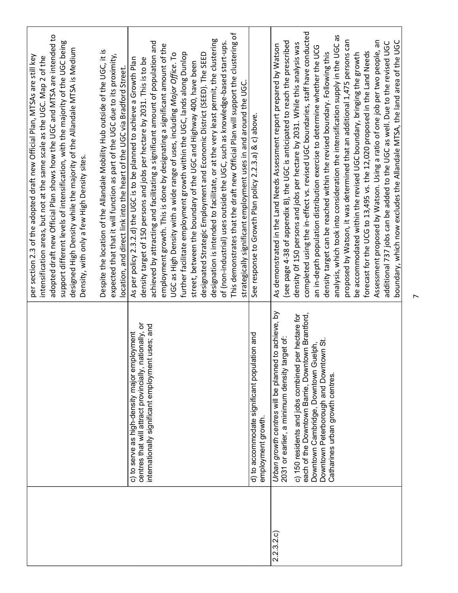|                    |                                                                                                                                                                        | per section 2.3 of the adopted draft new Official Plan, MTSAs are still key<br>intensification areas, but not at the same scale as the UGC. Map 2 of the                                                                                                                                                                                                                                                                                                                      |
|--------------------|------------------------------------------------------------------------------------------------------------------------------------------------------------------------|-------------------------------------------------------------------------------------------------------------------------------------------------------------------------------------------------------------------------------------------------------------------------------------------------------------------------------------------------------------------------------------------------------------------------------------------------------------------------------|
|                    |                                                                                                                                                                        | adopted draft new Official Plan shows how the UGC and MTSA are intended to<br>support different levels of intensification, with the majority of the UGC being<br>while the majority of the Allandale MTSA is Medium<br>Density, with only a few High Density sites.<br>designed High Density                                                                                                                                                                                  |
|                    |                                                                                                                                                                        | the Allandale Mobility Hub outside of the UGC, it is<br>expected that it will function as part of the UGC due to its proximity,<br>location, and direct link into the heart of the UGC via Bradford Street.<br>Despite the location of                                                                                                                                                                                                                                        |
|                    | centres that will attract provincially, nationally, or<br>internationally significant employment uses; and<br>c) to serve as high-density major employment             | and facilitating a significant amount of population and<br>employment growth. This is done by designating a significant amount of the<br>As per policy 2.3.2.d) the UGC is to be planned to achieve a Growth Plan<br>density target of 150 persons and jobs per hectare by 2031. This is to be<br>achieved by attracting                                                                                                                                                      |
|                    |                                                                                                                                                                        | designation is intended to facilitate, or at the very least permit, the clustering<br>outside the UGC, such as knowledge-based start-ups.<br>further facilitate employment growth within the UGC, lands along Dunlop<br>UGC as High Density with a wide range of uses, including Major Office. To<br>designated Strategic Employment and Economic District (SEED). The SEED<br>street, between the boundary of the UGC and Highway 400, have been<br>of (non-industrial) uses |
|                    | d) to accommodate significant population and<br>employment growth.                                                                                                     | the draft new Official Plan will support the clustering of<br>employment uses in and around the UGC.<br>See response to Growth Plan policy 2.2.3.a) & c) above.<br>This demonstrates that<br>strategically significant                                                                                                                                                                                                                                                        |
| (2.3.2c)<br>$\sim$ | Urban growth centres will be planned to achieve, by<br>c) 150 residents and jobs combined per hectare for<br>2031 or earlier, a minimum density target of:             | (see page 4-38 of appendix B), the UGC is anticipated to reach the prescribed<br>density Of 150 persons and jobs per hectare by 2031. While this analysis was<br>As demonstrated in the Land Needs Assessment report prepared by Watson                                                                                                                                                                                                                                       |
|                    | each of the Downtown Barrie, Downtown Brantford,<br>Downtown Peterborough and Downtown St.<br>Catharines urban growth centres.<br>Downtown Cambridge, Downtown Guelph, | completed using the in-effect vs. revised UGC boundaries, staff have conducted<br>to consideration the intensification supply in the UGC as<br>distribution exercise to determine whether the UCG<br>density target can be reached within the revised boundary. Following this<br>an in-depth population<br>analysis, which took int                                                                                                                                          |
|                    |                                                                                                                                                                        | proposed by Watson, it was determined that an additional 1,475 persons can<br>13,495 vs. the 12,020 proposed in the Land Needs<br>be accommodated within the revised UGC boundary, bringing the growth<br>forecast for the UCG to                                                                                                                                                                                                                                             |
|                    |                                                                                                                                                                        | oy Watson. Using a ratio of one job per two people, an<br>boundary, which now excludes the Allandale MTSA, the land area of the UGC<br>be added to the UGC as well. Due to the revised UGC<br>additional 737 jobs can<br>Assessment proposed                                                                                                                                                                                                                                  |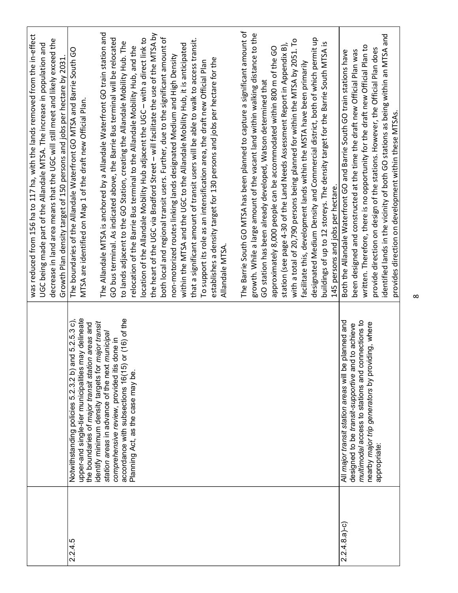|                  |                                                                                                                                                                                                                                                                                                                                                                                                                      | was reduced from 156 ha to 117 ha, with the lands removed from the in-effect<br>decrease in land area means that the UGC will still meet and likely exceed the<br>UGC being made part of the Allandale MTSA. The increase in population and<br>Growth Plan density target of 150 persons and jobs per hectare by 2031.                                                                                                                                                                                                                                                                                                                                                                                                                                                                                                                                                                                                                                                                                                                                                                                                                                               |
|------------------|----------------------------------------------------------------------------------------------------------------------------------------------------------------------------------------------------------------------------------------------------------------------------------------------------------------------------------------------------------------------------------------------------------------------|----------------------------------------------------------------------------------------------------------------------------------------------------------------------------------------------------------------------------------------------------------------------------------------------------------------------------------------------------------------------------------------------------------------------------------------------------------------------------------------------------------------------------------------------------------------------------------------------------------------------------------------------------------------------------------------------------------------------------------------------------------------------------------------------------------------------------------------------------------------------------------------------------------------------------------------------------------------------------------------------------------------------------------------------------------------------------------------------------------------------------------------------------------------------|
| 2.2.4.5          | upper-and single-tier municipalities may delineate<br>or $(16)$ of the<br>Notwithstanding policies 5.2.3.2 b) and 5.2.5.3 c),<br>identify minimum density targets for major transit<br>the boundaries of major transit station areas and<br>station areas in advance of the next municipal<br>comprehensive review, provided itis done in<br>accordance with subsections 16(15)<br>Planning Act, as the case may be. | The Allandale MTSA is anchored by a Allandale Waterfront GO train station and<br>the heart of the UGC via Bradford Street - will facilitate the use of the MTSA by<br>both local and regional transit users. Further, due to the significant amount of<br>GO bus terminal. As indicated above, the Barrie Bus terminal will be relocated<br>location of the Allandale Mobility Hub adjacent the UGC - with a direct link to<br>that a significant amount of transit users will be able to walk to access transit.<br>to lands adjacent to the GO Station, creating the Allandale Mobility Hub. The<br>within the MTSA and the UGC to the Allandale Mobility Hub, it is anticipated<br>relocation of the Barrie Bus terminal to the Allandale Mobility Hub, and the<br>The boundaries of the Allandale Waterfront GO MTSA and Barrie South GO<br>non-motorized routes linking lands designated Medium and High Density<br>establishes a density target for 130 persons and jobs per hectare for the<br>To support its role as an intensification area, the draft new Official Plan<br>MTSA are identified on Map 1 of the draft new Official Plan.<br>Allandale MTSA. |
|                  |                                                                                                                                                                                                                                                                                                                                                                                                                      | The Barrie South GO MTSA has been planned to capture a significant amount of<br>growth. While a large amount of the vacant land within walking distance to the<br>designated Medium Density and Commercial district, both of which permit up<br>with a total of 20,790 persons being planned for within the MTSA by 2051. To<br>buildings of up to 12 storeys. The density target for the Barrie South MTSA is<br>station (see page 4-30 of the Land Needs Assessment Report in Appendix B),<br>approximately 8,000 people can be accommodated within 800 m of the GO<br>facilitate this, development lands within the MSTA have been primarily<br>GO station has been already developed, Watson determined that<br>145 persons and jobs per hectare.                                                                                                                                                                                                                                                                                                                                                                                                                |
| $2.2.4.8.a - c)$ | multimodal access to stations and connections to<br>planned and<br>nearby major trip generators by providing, where<br>to achieve<br>designed to be transit-supportive and<br>All major transit station areas will be<br>appropriate:                                                                                                                                                                                | identified lands in the vicinity of both GO stations as being within an MTSA and<br>written. Therefore, there is no opportunity for the draft new Official Plan to<br>provide direction on design of the stations. However, the Official Plan does<br>been designed and constructed at the time the draft new Official Plan was<br>Both the Allandale Waterfront GO and Barrie South GO train stations have<br>provides direction on development within these MTSAs.                                                                                                                                                                                                                                                                                                                                                                                                                                                                                                                                                                                                                                                                                                 |
|                  |                                                                                                                                                                                                                                                                                                                                                                                                                      | ∞                                                                                                                                                                                                                                                                                                                                                                                                                                                                                                                                                                                                                                                                                                                                                                                                                                                                                                                                                                                                                                                                                                                                                                    |
|                  |                                                                                                                                                                                                                                                                                                                                                                                                                      |                                                                                                                                                                                                                                                                                                                                                                                                                                                                                                                                                                                                                                                                                                                                                                                                                                                                                                                                                                                                                                                                                                                                                                      |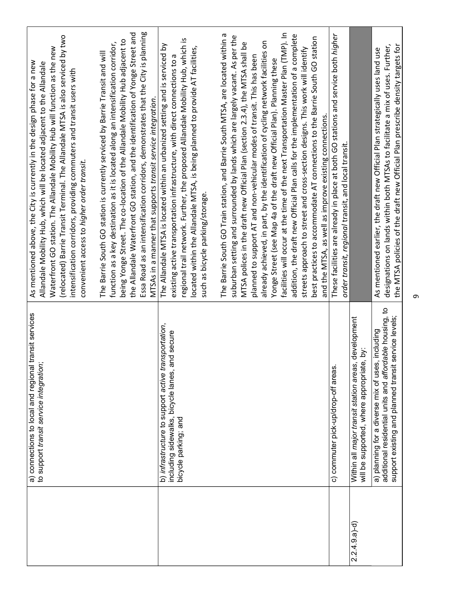|                  | a) connections to local and regional transit services<br>to support transit service integration;                                                                           | (relocated) Barrie Transit Terminal. The Allandale MTSA is also serviced by two<br>Waterfront GO station. The Allandale Mobility Hub will function as the new<br>As mentioned above, the City is currently in the design phase for a new<br>Allandale Mobility Hub, which will be located adjacent to the Allandale<br>intensification corridors, providing commuters and transit users with<br>convenient access to higher order transit.                                                    |
|------------------|----------------------------------------------------------------------------------------------------------------------------------------------------------------------------|-----------------------------------------------------------------------------------------------------------------------------------------------------------------------------------------------------------------------------------------------------------------------------------------------------------------------------------------------------------------------------------------------------------------------------------------------------------------------------------------------|
|                  |                                                                                                                                                                            | Essa Road as an intensification corridors, demonstrates that the City is planning<br>the Allandale Waterfront GO station, and the identification of Yonge Street and<br>being Yonge Street. The co-location of the Allandale Mobility Hub adjacent to<br>function as a key destination as it is located along an intensification corridor,<br>The Barrie South GO station is currently serviced by Barrie Transit and will<br>MTSAs in a manner that supports transit service integration.    |
|                  | b) infrastructure to support active transportation,<br>including sidewalks, bicycle lanes, and secure<br>bicycle parking; and                                              | regional trail network. Further, the proposed Allandale Mobility Hub, which is<br>The Allandale MTSA is located within an urbanized setting and is serviced by<br>located within the Allandale MTSA, is being planned to provide AT facilities,<br>existing active transportation infrastructure, with direct connections to a<br>such as bicycle parking/storage.                                                                                                                            |
|                  |                                                                                                                                                                            | The Barrie South GO Train station, and Barrie South MTSA, are located within a<br>suburban setting and surrounded by lands which are largely vacant. As per the<br>already achieved, in part, by the identification of cycling network facilities on<br>MTSA polices in the draft new Official Plan (section 2.3.4), the MTSA shall be<br>planned to support AT and non-vehicular modes of transit. This has been<br>Yonge Street (see Map 4a of the draft new Official Plan). Planning these |
|                  |                                                                                                                                                                            | facilities will occur at the time of the next Transportation Master Plan (TMP). In<br>addition, the draft new Official Plan calls for the implementation of a complete<br>best practices to accommodate AT connections to the Barrie South GO station<br>streets approach to street and cross-section designs. This work will identify<br>and the MTSA, as well as improve existing connections.                                                                                              |
|                  | c) commuter pick-up/drop-off areas.                                                                                                                                        | These facilities are already in place at both GO stations and service both higher<br>order transit, regional transit, and local transit.                                                                                                                                                                                                                                                                                                                                                      |
| $(2.2.4.9.a)$ -d | development<br>will be supported, where appropriate, by:<br>Within all major transit station areas,                                                                        |                                                                                                                                                                                                                                                                                                                                                                                                                                                                                               |
|                  | able housing, to<br>support existing and planned transit service levels;<br>including<br>a) planning for a diverse mix of uses,<br>additional residential units and afford | designations on lands within both MTSAs to facilitate a mix of uses. Further,<br>the MTSA policies of the draft new Official Plan prescribe density targets for<br>As mentioned earlier, the draft new Official Plan strategically uses land use                                                                                                                                                                                                                                              |
|                  |                                                                                                                                                                            | Ō                                                                                                                                                                                                                                                                                                                                                                                                                                                                                             |
|                  |                                                                                                                                                                            |                                                                                                                                                                                                                                                                                                                                                                                                                                                                                               |
|                  |                                                                                                                                                                            |                                                                                                                                                                                                                                                                                                                                                                                                                                                                                               |
|                  |                                                                                                                                                                            |                                                                                                                                                                                                                                                                                                                                                                                                                                                                                               |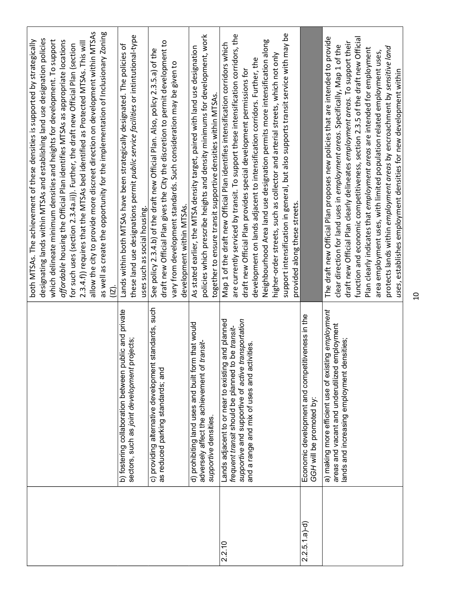|                |                                                                                                         | designating lands within MTSAs and establishing land use designation policies<br>which delineate minimum densities and heights for development. To support<br>both MTSAs. The achievement of these densities is supported by strategically |
|----------------|---------------------------------------------------------------------------------------------------------|--------------------------------------------------------------------------------------------------------------------------------------------------------------------------------------------------------------------------------------------|
|                |                                                                                                         | affordable housing the Official Plan identifies MTSAs as appropriate locations                                                                                                                                                             |
|                |                                                                                                         | 2.3.4.f) requires that the MTSAs bed identified as Protected MTSAs. This will<br>for such uses (section 2.3.4a.ii)). Further, the draft new Official Plan (section                                                                         |
|                |                                                                                                         | allow the city to provide more discreet direction on development within MTSAs                                                                                                                                                              |
|                |                                                                                                         | as well as create the opportunity for the implementation of Inclusionary Zoning<br>$\overline{2}$                                                                                                                                          |
|                | b) fostering collaboration between public and private                                                   | Lands within both MTSAs have been strategically designated. The policies of                                                                                                                                                                |
|                | projects;<br>sectors, such as joint development                                                         | these land use designations permit public service facilities or intintutional-type                                                                                                                                                         |
|                |                                                                                                         | uses such as social housing.                                                                                                                                                                                                               |
|                | c) providing alternative development standards, such<br>as reduced parking standards; and               | draft new Official Plan gives the City the discretion to permit development to<br>See policy 2.3.4.b) of the draft new Official Plan. Also, policy 2.3.5.a) of the                                                                         |
|                |                                                                                                         | vary from development standards. Such consideration may be given to                                                                                                                                                                        |
|                |                                                                                                         | development within MTSAs.                                                                                                                                                                                                                  |
|                | d) prohibiting land uses and built form that would                                                      | As stated earlier, the MTSA density target, paired with land use designation                                                                                                                                                               |
|                | adversely affect the achievement of transit-                                                            | policies which prescribe heights and density minimums for development, work                                                                                                                                                                |
|                | supportive densities.                                                                                   | together to ensure transit supportive densities within MTSAs.                                                                                                                                                                              |
| 2.2.10         | Lands adjacent to or near to existing and planned<br>frequent transit should be planned to be transit-  | Map 1 of the draft new Official Plan identifies intensification corridors which                                                                                                                                                            |
|                | transportation<br>supportive and supportive of active                                                   | are currently serviced by transit. To support these intensification corridors, the<br>draft new Official Plan provides special development permissions for                                                                                 |
|                | and a range and mix of uses and activities.                                                             | development on lands adjacent to intensification corridors. Further, the                                                                                                                                                                   |
|                |                                                                                                         | Neighbourhood Area land use designation permits more intensification along                                                                                                                                                                 |
|                |                                                                                                         | higher-order streets, such as collector and arterial streets, which not only                                                                                                                                                               |
|                |                                                                                                         | support intensification in general, but also supports transit service with may be                                                                                                                                                          |
|                |                                                                                                         | provided along these streets.                                                                                                                                                                                                              |
| $2.2.5.1.a)-d$ | itiveness in the<br>Economic development and compet<br>GGH will be promoted by:                         |                                                                                                                                                                                                                                            |
|                | a) making more efficient use of existing employment<br>employment<br>areas and vacant and underutilized | The draft new Official Plan proposes new policies that are intended to provide                                                                                                                                                             |
|                | lands and increasing employment densities;                                                              | draft new Official Plan clearly delineates employment areas. To support their<br>clear direction for land uses in employment areas. Specifically, Map 1 of the                                                                             |
|                |                                                                                                         | function and economic competitiveness, section 2.3.5 of the draft new Official                                                                                                                                                             |
|                |                                                                                                         | Plan clearly indicates that employment areas are intended for employment                                                                                                                                                                   |
|                |                                                                                                         | area employment uses, with limited population related employment uses,                                                                                                                                                                     |
|                |                                                                                                         | protects lands within employment areas by encroachment by sensitive land<br>uses, establishes employment densities for new development within                                                                                              |
|                |                                                                                                         | $\overline{a}$                                                                                                                                                                                                                             |
|                |                                                                                                         |                                                                                                                                                                                                                                            |
|                |                                                                                                         |                                                                                                                                                                                                                                            |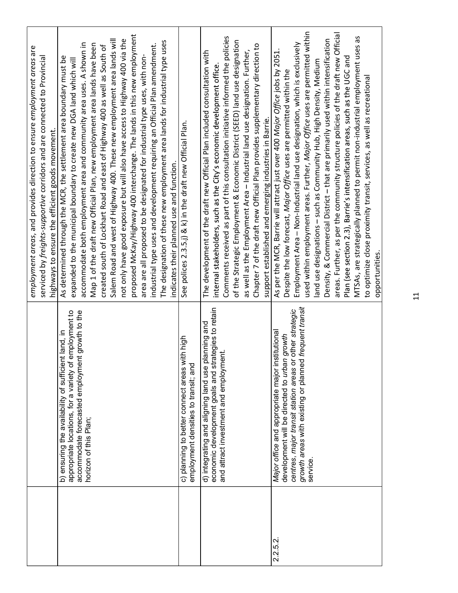|                                                                                                                                                      |                                                                                                                                                                                                                                                                                                                                                                                                                                                                                                                                                                                                                                                                                                                                                                                                                                                                                                                                                                    |                                                                                       |                                                                                                                                                                                                                                                                                                                                                                                                                                                                                                                                               | 2051.                                                                                                                                                                                                                                                                                                                                                                                                                                                                                                                                                                                                                                                                                                                                                                                                                    |  |
|------------------------------------------------------------------------------------------------------------------------------------------------------|--------------------------------------------------------------------------------------------------------------------------------------------------------------------------------------------------------------------------------------------------------------------------------------------------------------------------------------------------------------------------------------------------------------------------------------------------------------------------------------------------------------------------------------------------------------------------------------------------------------------------------------------------------------------------------------------------------------------------------------------------------------------------------------------------------------------------------------------------------------------------------------------------------------------------------------------------------------------|---------------------------------------------------------------------------------------|-----------------------------------------------------------------------------------------------------------------------------------------------------------------------------------------------------------------------------------------------------------------------------------------------------------------------------------------------------------------------------------------------------------------------------------------------------------------------------------------------------------------------------------------------|--------------------------------------------------------------------------------------------------------------------------------------------------------------------------------------------------------------------------------------------------------------------------------------------------------------------------------------------------------------------------------------------------------------------------------------------------------------------------------------------------------------------------------------------------------------------------------------------------------------------------------------------------------------------------------------------------------------------------------------------------------------------------------------------------------------------------|--|
|                                                                                                                                                      |                                                                                                                                                                                                                                                                                                                                                                                                                                                                                                                                                                                                                                                                                                                                                                                                                                                                                                                                                                    |                                                                                       |                                                                                                                                                                                                                                                                                                                                                                                                                                                                                                                                               |                                                                                                                                                                                                                                                                                                                                                                                                                                                                                                                                                                                                                                                                                                                                                                                                                          |  |
| employment areas, and provides direction to ensure employment areas are<br>serviced by freights-supportive corridors and are connected to Provincial | proposed McKay/Highway 400 interchange. The lands in this new employment<br>Salem Road and west of Highway 400. These new employment area lands will<br>not only have good exposure but will also have access to Highway 400 via the<br>The designation of these new employment area lands for industrial type uses<br>accommodate both employment area and community area uses. A shown in<br>Map 1 of the draft new Official Plan, new employment area lands have been<br>industrial type uses and development requiring an Official Plan amendment.<br>created south of Lockhart Road and east of Highway 400 as well as South of<br>area are all proposed to be designated for industrial type uses, with non-<br>As determined through the MCR, the settlement area boundary must be<br>expanded to the municipal boundary to create new DGA land which will<br>highways to ensure the efficient goods movement.<br>indicates their planned use and function. | See polices 2.3.5.j) & k) in the draft new Official Plan.                             | Comments received as part of this consultation initiative informed the policies<br>of the Strategic Employment & Economic District (SEED) land use designation<br>Chapter 7 of the draft new Official Plan provides supplementary direction to<br>as well as the Employment Area - Industrial land use designation. Further,<br>The development of the draft new Official Plan included consultation with<br>internal stakeholders, such as the City's economic development office.<br>support established and emerging industries in Barrie. | used within employment areas. Further, Major Office uses are permitted within<br>areas. Further, as per the community structure policies of the draft new Official<br>MTSAs, are strategically planned to permit non-industrial employment uses as<br>Density, & Commercial District - that are primarily used within intensification<br>Employment Area - Non-Industrial land use designation, which is exclusively<br>Plan (see section 2.3), Barrie's intensification areas, such as the UGC and<br>land use designations - such as Community Hub, High Density, Medium<br>As per the MCR, Barrie will attract just over 400 Major Office jobs by<br>Despite the low forecast, Major Office uses are permitted within the<br>to optimize close proximity transit, services, as well as recreational<br>opportunities. |  |
|                                                                                                                                                      | appropriate locations, for a variety of employment to<br>accommodate forecasted employment growth to the<br>b) ensuring the availability of sufficient land, in<br>horizon of this Plan;                                                                                                                                                                                                                                                                                                                                                                                                                                                                                                                                                                                                                                                                                                                                                                           | c) planning to better connect areas with high<br>employment densities to transit; and | ategies to retain<br>d) integrating and aligning land use planning and<br>ent.<br>and attract investment and employm<br>economic development goals and st                                                                                                                                                                                                                                                                                                                                                                                     | growth areas with existing or planned frequent transit<br>centres, major transit station areas or other strategic<br>Major office and appropriate major institutional<br>development will be directed to urban growth<br>service.                                                                                                                                                                                                                                                                                                                                                                                                                                                                                                                                                                                        |  |
|                                                                                                                                                      |                                                                                                                                                                                                                                                                                                                                                                                                                                                                                                                                                                                                                                                                                                                                                                                                                                                                                                                                                                    |                                                                                       |                                                                                                                                                                                                                                                                                                                                                                                                                                                                                                                                               | 2.2.5.2                                                                                                                                                                                                                                                                                                                                                                                                                                                                                                                                                                                                                                                                                                                                                                                                                  |  |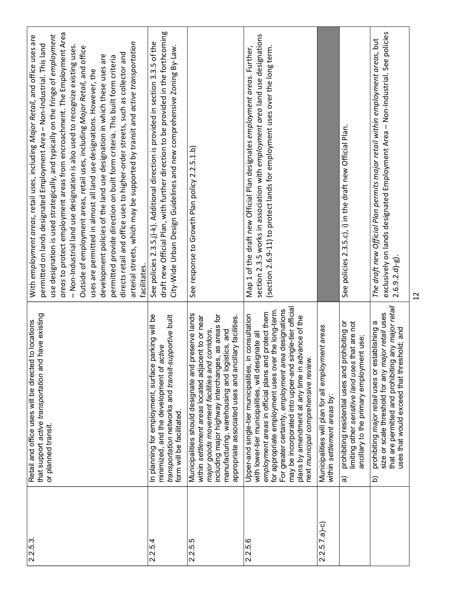| 2.2.5.3.       | that support active transportation and have existing<br>Retail and office uses will be directed to locations<br>or planned transit.                                                                                                                                                                                                                                                                                                     | areas to protect employment areas from encroachment. The Employment Area<br>use designation is used strategically, and typically on the fringe of employment<br>With employment areas, retail uses, including Major Retail, and office uses are<br>arterial streets, which may be supported by transit and active transportation<br>permitted on lands designated Employment Area - Non-Industrial. This land<br>- Non-Industrial land use designation is also used to recognize existing uses.<br>Outside of employment areas, retail uses, including Major Retail, and office<br>directs retail and office uses to higher-order streets, such as collector and<br>development policies of the land use designation in which these uses are<br>permitted provide direction on built form criteria. This built form criteria<br>uses are permitted in almost all land use designations. However, the<br>facilitates. |
|----------------|-----------------------------------------------------------------------------------------------------------------------------------------------------------------------------------------------------------------------------------------------------------------------------------------------------------------------------------------------------------------------------------------------------------------------------------------|----------------------------------------------------------------------------------------------------------------------------------------------------------------------------------------------------------------------------------------------------------------------------------------------------------------------------------------------------------------------------------------------------------------------------------------------------------------------------------------------------------------------------------------------------------------------------------------------------------------------------------------------------------------------------------------------------------------------------------------------------------------------------------------------------------------------------------------------------------------------------------------------------------------------|
| 2.2.5.4        | parking will be<br>transportation networks and transit-supportive built<br>minimized, and the development of active<br>In planning for employment, surface<br>form will be facilitated.                                                                                                                                                                                                                                                 | draft new Official Plan, with further direction to be provided in the forthcoming<br>See policies 2.3.5.j)-k). Additional direction is provided in section 3.3.5 of the<br>City-Wide Urban Design Guidelines and new comprehensive Zoning By-Law.                                                                                                                                                                                                                                                                                                                                                                                                                                                                                                                                                                                                                                                                    |
| 2.2.5.5        | Municipalities should designate and preserve lands<br>including major highway interchanges, as areas for<br>appropriate associated uses and ancillary facilities.<br>within settlement areas located adjacent to or near<br>major goods movement facilities and corridors,<br>manufacturing, warehousing and logistics, and                                                                                                             | See response to Growth Plan policy 2.2.5.1.b)                                                                                                                                                                                                                                                                                                                                                                                                                                                                                                                                                                                                                                                                                                                                                                                                                                                                        |
| 2.2.5.6        | For greater certainty, employment area designations<br>may be incorporated into upper-and single-tier official<br>for appropriate employment uses over the long-term.<br>employment areas in official plans and protect them<br>Upper-and single-tier municipalities, in consultation<br>plans by amendment at any time in advance of the<br>with lower-tier municipalities, will designate all<br>next municipal comprehensive review. | section 2.3.5 works in association with employment area land use designations<br>(section 2.6.9-11) to protect lands for employment uses over the long term.<br>Map 1 of the draft new Official Plan designates employment areas. Further,                                                                                                                                                                                                                                                                                                                                                                                                                                                                                                                                                                                                                                                                           |
| $2.2.5.7.a)-c$ | Municipalities will plan for all employment areas<br>within settlement areas by:                                                                                                                                                                                                                                                                                                                                                        |                                                                                                                                                                                                                                                                                                                                                                                                                                                                                                                                                                                                                                                                                                                                                                                                                                                                                                                      |
|                | prohibiting or<br>limiting other sensitive land uses that are not<br>ancillary to the primary employment use;<br>prohibiting residential uses and<br>ଚ୍ଚ                                                                                                                                                                                                                                                                                | See policies 2.3.5.c), i) in the draft new Official Plan.                                                                                                                                                                                                                                                                                                                                                                                                                                                                                                                                                                                                                                                                                                                                                                                                                                                            |
|                | that are permitted and prohibiting any major retail<br>size or scale threshold for any major retail uses<br>prohibiting major retail uses or establishing a<br>uses that would exceed that threshold; and<br>$\widehat{\Omega}$                                                                                                                                                                                                         | exclusively on lands designated Employment Area - Non-Industrial. See policies<br>The draft new Official Plan permits major retail within employment areas, but<br>$2.6.9.2.d$ ]-g).                                                                                                                                                                                                                                                                                                                                                                                                                                                                                                                                                                                                                                                                                                                                 |
|                |                                                                                                                                                                                                                                                                                                                                                                                                                                         | $\overline{2}$                                                                                                                                                                                                                                                                                                                                                                                                                                                                                                                                                                                                                                                                                                                                                                                                                                                                                                       |
|                |                                                                                                                                                                                                                                                                                                                                                                                                                                         |                                                                                                                                                                                                                                                                                                                                                                                                                                                                                                                                                                                                                                                                                                                                                                                                                                                                                                                      |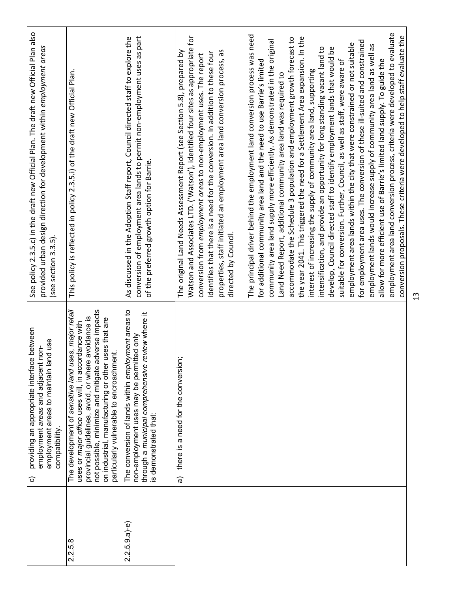|                | providing an appropriate interface between<br>employment areas to maintain land use<br>employment areas and adjacent non-<br>compatibility<br>$\widehat{\circ}$                                                                                                                                                                         | See policy 2.3.5.c) in the draft new Official Plan. The draft new Official Plan also<br>provided urban design direction for development within employment areas<br>(see section 3.3.5).                                                                                                                                                                                                                                   |
|----------------|-----------------------------------------------------------------------------------------------------------------------------------------------------------------------------------------------------------------------------------------------------------------------------------------------------------------------------------------|---------------------------------------------------------------------------------------------------------------------------------------------------------------------------------------------------------------------------------------------------------------------------------------------------------------------------------------------------------------------------------------------------------------------------|
| 2.2.5.8        | ses, major retail<br>not possible, minimize and mitigate adverse impacts<br>provincial guidelines, avoid, or where avoidance is<br>uses that are<br>uses or major office uses will, in accordance with<br>lent.<br>The development of sensitive land u<br>on industrial, manufacturing or other<br>particularly vulnerable to encroachm | This policy is reflected in policy 2.3.5.i) of the draft new Official Plan.                                                                                                                                                                                                                                                                                                                                               |
| $2.2.5.9.a)-e$ | oyment areas to<br>review where it<br>non-employment uses may be permitted only<br>through a municipal comprehensive<br>The conversion of lands within empl<br>is demonstrated that:                                                                                                                                                    | conversion of employment area lands to permit non-employment uses as part<br>As discussed in the Adoption Staff report, Council directed staff to explore the<br>of the preferred growth option for Barrie.                                                                                                                                                                                                               |
|                | there is a need for the conversion;<br>ಹ                                                                                                                                                                                                                                                                                                | Watson and Associates LTD. ('Watson'), identified four sites as appropriate for<br>properties, staff initiated an employment area land conversion process, as<br>The original Land Needs Assessment Report (see Section 5.8), prepared by<br>identifies that there is a need for the conversion. In addition to these four<br>conversion from employment areas to non-employment uses. The report<br>directed by Council. |
|                |                                                                                                                                                                                                                                                                                                                                         | The principal driver behind the employment land conversion process was need<br>community area land supply more efficiently. As demonstrated in the original<br>for additional community area land and the need to use Barrie's limited<br>Land Need Report, additional community area land was required to                                                                                                                |
|                |                                                                                                                                                                                                                                                                                                                                         | the year 2041. This triggered the need for a Settlement Area expansion. In the<br>accommodate the Schedule 3 population and employment growth forecast to<br>interest of increasing the supply of community area land, supporting                                                                                                                                                                                         |
|                |                                                                                                                                                                                                                                                                                                                                         | intensification, and provide an opportunity for long standing vacant land to<br>develop, Council directed staff to identify employment lands that would be                                                                                                                                                                                                                                                                |
|                |                                                                                                                                                                                                                                                                                                                                         | employment area lands within the city that were constrained or not suitable<br>suitable for conversion. Further, Council, as well as staff, were aware of                                                                                                                                                                                                                                                                 |
|                |                                                                                                                                                                                                                                                                                                                                         | for employment area uses. The conversion of these ill-suited and constrained                                                                                                                                                                                                                                                                                                                                              |
|                |                                                                                                                                                                                                                                                                                                                                         | employment lands would increase supply of community area land as well as<br>allow for more efficient use of Barrie's limited land supply. To guide the                                                                                                                                                                                                                                                                    |
|                |                                                                                                                                                                                                                                                                                                                                         | employment area land conversion process, criteria were developed to evaluate<br>conversion proposals. These criteria were developed to help staff evaluate the                                                                                                                                                                                                                                                            |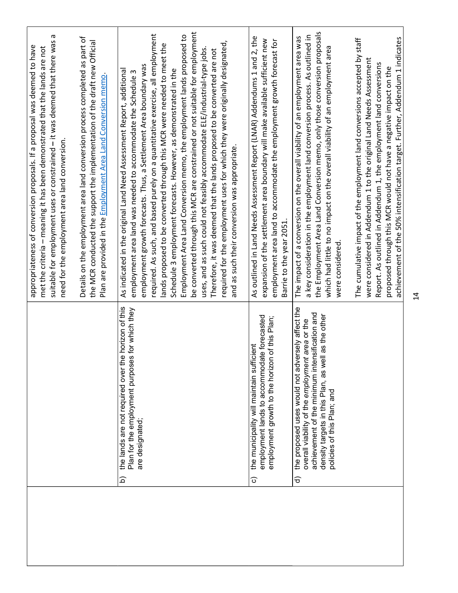| $\vec{a}$                                                                                                                                                                                                                                                                                                                                                                                                                                                                                                                                                                                                                                                                                                                                                                                                                                                                                     |                                                                                                                                                                                                                                                     |
|-----------------------------------------------------------------------------------------------------------------------------------------------------------------------------------------------------------------------------------------------------------------------------------------------------------------------------------------------------------------------------------------------------------------------------------------------------------------------------------------------------------------------------------------------------------------------------------------------------------------------------------------------------------------------------------------------------------------------------------------------------------------------------------------------------------------------------------------------------------------------------------------------|-----------------------------------------------------------------------------------------------------------------------------------------------------------------------------------------------------------------------------------------------------|
| achievement of the 50% intensification target. Further, Addendum 1 indicates<br>The cumulative impact of the employment land conversions accepted by staff<br>were considered in Addendum 1 to the original Land Needs Assessment<br>Report. As outlined in Addendum 1, the employment land conversions<br>proposed through this MCR would not have a negative impact on the                                                                                                                                                                                                                                                                                                                                                                                                                                                                                                                  |                                                                                                                                                                                                                                                     |
| the Employment Area Land Conversion memo, only those conversion proposals<br>a key consideration in the employment land conversion process. As outlined in<br>The impact of a conversion on the overall viability of an employment area was<br>which had little to no impact on the overall viability of an employment area<br>were considered                                                                                                                                                                                                                                                                                                                                                                                                                                                                                                                                                | rersely affect the<br>achievement of the minimum intensification and<br>density targets in this Plan, as well as the other<br>overall viability of the employment area or the<br>the proposed uses would not adv<br>policies of this Plan; and<br>ଟ |
| As outlined in Land Needs Assessment Report (LNAR) Addendums 1 and 2, the<br>expansion of the settlement area boundary will make available sufficient new<br>employment area land to accommodate the employment growth forecast for<br>Barrie to the year 2051                                                                                                                                                                                                                                                                                                                                                                                                                                                                                                                                                                                                                                | employment lands to accommodate forecasted<br>Plan;<br>employment growth to the horizon of this<br>icient<br>the municipality will maintain suff<br>ි                                                                                               |
| be converted through this MCR are constrained or not suitable for employment<br>required. As such, and based purely on a quantitative exercise, all employment<br>Employment Area Land Conversion memo, the employment lands proposed to<br>required for the employment uses for which they were originally designated,<br>ands proposed to be converted through this MCR were needed to meet the<br>uses, and as such could not feasibly accommodate ELE/industrial-type jobs<br>Therefore, it was deemed that the lands proposed to be converted are not<br>employment growth forecasts. Thus, a Settlement Area boundary was<br>As indicated in the original Land Need Assessment Report, additional<br>Schedule 3 employment forecasts. However, as demonstrated in the<br>employment area land was needed to accommodate the Schedule 3<br>and as such their conversion was appropriate. | the lands are not required over the horizon of this<br>Plan for the employment purposes for which they<br>are designated;<br>$\widehat{\Omega}$                                                                                                     |
| Details on the employment area land conversion process completed as part of<br>the MCR conducted the support the implementation of the draft new Official<br>Plan are provided in the Employment Area Land Conversion memo                                                                                                                                                                                                                                                                                                                                                                                                                                                                                                                                                                                                                                                                    |                                                                                                                                                                                                                                                     |
| Б<br>suitable for employment uses or constrained - it was deemed that there was<br>appropriateness of conversion proposals. If a proposal was deemed to have<br>met the criteria - meaning it has been demonstrated that the lands are not<br>need for the employment area land conversion.                                                                                                                                                                                                                                                                                                                                                                                                                                                                                                                                                                                                   |                                                                                                                                                                                                                                                     |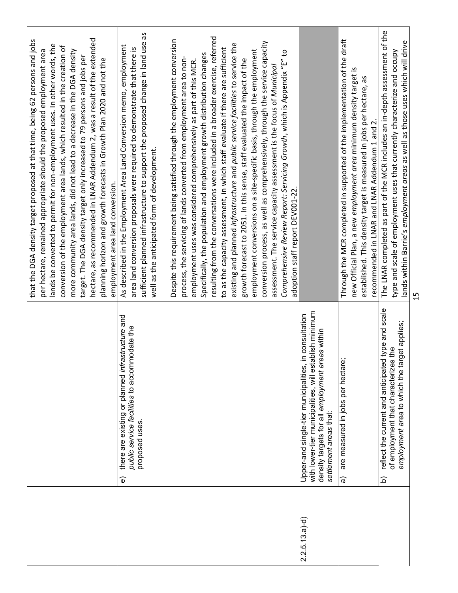|                 |                                                                                                                | that the DGA density target proposed at that time, being 62 persons and jobs                                                                       |
|-----------------|----------------------------------------------------------------------------------------------------------------|----------------------------------------------------------------------------------------------------------------------------------------------------|
|                 |                                                                                                                | lands be converted to permit for non-employment uses. In other words, the<br>per hectare, remained appropriate should the proposed employment area |
|                 |                                                                                                                | conversion of the employment area lands, which resulted in the creation of                                                                         |
|                 |                                                                                                                | more community area lands, did not lead to a decrease in the DGA density                                                                           |
|                 |                                                                                                                | target. The DGA density target only increased to 79 persons and jobs per                                                                           |
|                 |                                                                                                                | hectare, as recommended in LNAR Addendum 2, was a result of the extended                                                                           |
|                 |                                                                                                                | planning horizon and growth forecasts in Growth Plan 2020 and not the                                                                              |
|                 |                                                                                                                | employment area land conversion.                                                                                                                   |
|                 | astructure and<br>there are existing or planned infr<br>$\widehat{\mathbf{e}}$                                 | As described in the Employment Area Land Conversion memo, employment                                                                               |
|                 | modate the<br>public service facilities to accom                                                               | area land conversion proposals were required to demonstrate that there is                                                                          |
|                 | proposed uses.                                                                                                 | sufficient planned infrastructure to support the proposed change in land use as                                                                    |
|                 |                                                                                                                | well as the anticipated form of development.                                                                                                       |
|                 |                                                                                                                |                                                                                                                                                    |
|                 |                                                                                                                | Despite this requirement being satisfied through the employment conversion                                                                         |
|                 |                                                                                                                | process, the servicing of lands converted from employment area to non-                                                                             |
|                 |                                                                                                                | employment uses was considered comprehensively as part of this MCR.                                                                                |
|                 |                                                                                                                | Specifically, the population and employment growth distribution changes                                                                            |
|                 |                                                                                                                | resulting from the conversations were included in a broader exercise, referred                                                                     |
|                 |                                                                                                                | to as the capacity assessment, in which staff evaluate if there are sufficient                                                                     |
|                 |                                                                                                                | existing and planned infrastructure and public service facilities to service the                                                                   |
|                 |                                                                                                                | growth forecast to 2051. In this sense, staff evaluated the impact of the                                                                          |
|                 |                                                                                                                | employment conversions on a site-specific basis, through the employment                                                                            |
|                 |                                                                                                                | conversion process, as well as comprehensively, through the service capacity                                                                       |
|                 |                                                                                                                | assessment. The service capacity assessment is the focus of Municipal                                                                              |
|                 |                                                                                                                | Comprehensive Review Report: Servicing Growth, which is Appendix "E" to                                                                            |
|                 |                                                                                                                | adoption staff report DEV001-22.                                                                                                                   |
| $2.2.5.13.a)-d$ | in consultation<br>Upper-and single-tier municipalities,                                                       |                                                                                                                                                    |
|                 | with lower-tier municipalities, will establish minimum<br>eas within<br>density targets for all employment are |                                                                                                                                                    |
|                 | settlement areas that:                                                                                         |                                                                                                                                                    |
|                 | are measured in jobs per hectare;<br>କ                                                                         | Through the MCR completed in supported of the implementation of the draft                                                                          |
|                 |                                                                                                                | new Official Plan, a new employment area minimum density target is                                                                                 |
|                 |                                                                                                                | established. This density target is measured in jobs per hectare, as                                                                               |
|                 |                                                                                                                | recommended in LNAR and LNAR Addendum 1 and 2.                                                                                                     |
|                 | reflect the current and anticipated type and scale<br>$\widehat{\mathbf{c}}$                                   | The LNAR completed as part of the MCR includes an in-depth assessment of the                                                                       |
|                 | of employment that characterizes the                                                                           | type and scale of employment uses that currently characterize and occupy                                                                           |
|                 | employment area to which the target applies;                                                                   | lands within Barrie's employment areas as well as those uses which will drive                                                                      |
|                 |                                                                                                                | 15                                                                                                                                                 |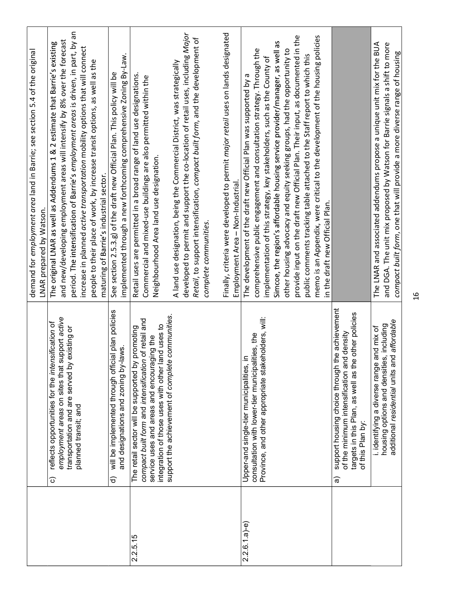| transportation and are served by existing or<br>Upper-and single-tier municipalities,<br>employment areas on sites that<br>support housing choice through<br>planned transit; and<br>of this Plan by:<br>$\widehat{\circ}$<br>$\widehat{\mathtt{c}}$<br>ଟ୍ଟ<br>$2.2.6.1.a$ )-e)<br>2.2.5.15 |                                                                                                                                                                                                             |                                                                                                                                                                                                                                               |
|---------------------------------------------------------------------------------------------------------------------------------------------------------------------------------------------------------------------------------------------------------------------------------------------|-------------------------------------------------------------------------------------------------------------------------------------------------------------------------------------------------------------|-----------------------------------------------------------------------------------------------------------------------------------------------------------------------------------------------------------------------------------------------|
|                                                                                                                                                                                                                                                                                             |                                                                                                                                                                                                             | demand for employment area land in Barrie; see section 5.4 of the original<br>LNAR prepared by Watson.                                                                                                                                        |
|                                                                                                                                                                                                                                                                                             | support active<br>reflects opportunities for the intensification of                                                                                                                                         | and new/developing employment areas will intensify by 8% over the forecast<br>The original LNAR as well as Addendums 1 & 2 estimate that Barrie's existing                                                                                    |
|                                                                                                                                                                                                                                                                                             |                                                                                                                                                                                                             | period. The intensification of Barrie's employment areas is driven, in part, by an<br>increase in planned active transportation mobility options that will connect                                                                            |
|                                                                                                                                                                                                                                                                                             |                                                                                                                                                                                                             | people to their place of work, by increase transit options, as well as the<br>maturing of Barrie's industrial sector.                                                                                                                         |
|                                                                                                                                                                                                                                                                                             | will be implemented through official plan policies<br>and designations and zoning by-laws.                                                                                                                  | implemented through a new forthcoming comprehensive Zoning By-Law.<br>See section 2.5.3.g) of the draft new Official Plan. This policy will be                                                                                                |
|                                                                                                                                                                                                                                                                                             | compact built form and intensification of retail and<br>integration of those uses with other land uses to<br>The retail sector will be supported by promoting<br>service uses and areas and encouraging the | Retail uses are permitted in a broad range of land use designations.<br>Commercial and mixed-use buildings are also permitted within the<br>Neighbourhood Area land use designation.                                                          |
|                                                                                                                                                                                                                                                                                             | support the achievement of complete communities.                                                                                                                                                            | developed to permit and support the co-location of retail uses, including Major<br>Retail, to support intensification, compact built form, and the development of<br>A land use designation, being the Commercial District, was strategically |
|                                                                                                                                                                                                                                                                                             |                                                                                                                                                                                                             | Finally, criteria were developed to permit major retail uses on lands designated<br>Employment Area - Non-Industrial.<br>complete communities.                                                                                                |
|                                                                                                                                                                                                                                                                                             | Province, and other appropriate stakeholders, will:<br>consultation with lower-tier municipalities, the<br>$\equiv$                                                                                         | comprehensive public engagement and consultation strategy. Through the<br>implementation of this strategy, key stakeholders, such as the County of<br>The development of the draft new Official Plan was supported by a                       |
|                                                                                                                                                                                                                                                                                             |                                                                                                                                                                                                             | provide input on the draft new Official Plan. Their input, as documented in the<br>Simcoe, the region's affordable housing service provider/manager, as well as<br>other housing advocacy and equity seeking groups, had the opportunity to   |
|                                                                                                                                                                                                                                                                                             |                                                                                                                                                                                                             | memo is an Appendix, were critical to the development of the housing policies<br>public comments tracking table attached to the Staff report to which this<br>in the draft new Official Plan.                                                 |
|                                                                                                                                                                                                                                                                                             | the achievement<br>targets in this Plan, as well as the other policies<br>of the minimum intensification and density                                                                                        |                                                                                                                                                                                                                                               |
|                                                                                                                                                                                                                                                                                             | additional residential units and affordable<br>housing options and densities, including<br>and mix of<br>i. identifying a diverse range                                                                     | and DGA. The unit mix proposed by Watson for Barrie signals a shift to more<br>The LNAR and associated addendums propose a unique unit mix for the BUA<br>compact built form, one that will provide a more diverse range of housing           |
|                                                                                                                                                                                                                                                                                             |                                                                                                                                                                                                             | $\frac{6}{1}$                                                                                                                                                                                                                                 |
|                                                                                                                                                                                                                                                                                             |                                                                                                                                                                                                             |                                                                                                                                                                                                                                               |
|                                                                                                                                                                                                                                                                                             |                                                                                                                                                                                                             |                                                                                                                                                                                                                                               |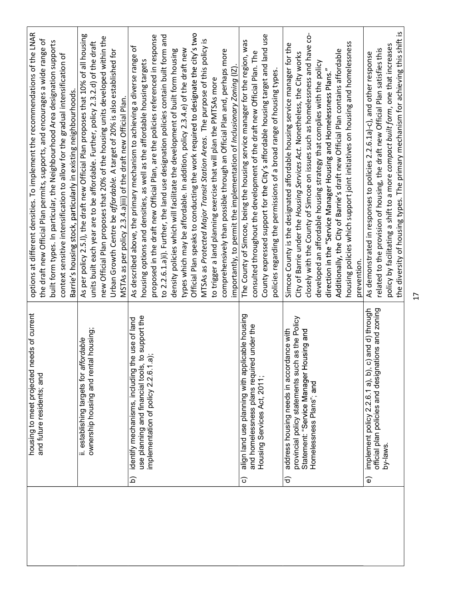| and future residents; and                                             | options at different densities. To implement the recommendations of the LNAR<br>the draft new Official Plan permits, supports, and encourages a wide range of                                                                                                                                                                                                                 |
|-----------------------------------------------------------------------|-------------------------------------------------------------------------------------------------------------------------------------------------------------------------------------------------------------------------------------------------------------------------------------------------------------------------------------------------------------------------------|
|                                                                       |                                                                                                                                                                                                                                                                                                                                                                               |
|                                                                       | built form types. In particular, the Neighbourhood Area designation supports                                                                                                                                                                                                                                                                                                  |
|                                                                       | context sensitive intensification to allow for the gradual intensification of                                                                                                                                                                                                                                                                                                 |
|                                                                       | Barrie's housing stock, particularly in existing neighbourhoods.                                                                                                                                                                                                                                                                                                              |
| ii. establishing targets for affordable                               | As per policy 2.5.I), the draft new Official Plan proposes that 10% of all housing                                                                                                                                                                                                                                                                                            |
| ownership housing and rental housing;                                 | units built each year are to be affordable. Further, policy 2.3.2.d) of the draft                                                                                                                                                                                                                                                                                             |
|                                                                       | new Official Plan proposes that 20% of the housing units developed within the                                                                                                                                                                                                                                                                                                 |
|                                                                       | Urban Growth Centre be affordable. A target of 20% is also established for                                                                                                                                                                                                                                                                                                    |
|                                                                       | MSTAs as per policy 2.3.4.a)iii) of the draft new Official Plan.                                                                                                                                                                                                                                                                                                              |
| use of land<br>identify mechanisms, including the                     | As described above, the primary mechanism to achieving a diverse range of                                                                                                                                                                                                                                                                                                     |
|                                                                       | housing options and densities, as well as the affordable housing targets                                                                                                                                                                                                                                                                                                      |
|                                                                       | proposed in the draft new Official Plan, are the policies referenced in response                                                                                                                                                                                                                                                                                              |
|                                                                       | to 2.2.6.1.a)i). Further, the land use designation policies contain built form and                                                                                                                                                                                                                                                                                            |
|                                                                       | density policies which will facilitate the development of built form housing                                                                                                                                                                                                                                                                                                  |
|                                                                       | types which may be affordable. In addition, policy 2.3.4.e) of the draft new                                                                                                                                                                                                                                                                                                  |
|                                                                       | Official Plan speaks to conducting the work required to designate the city's two                                                                                                                                                                                                                                                                                              |
|                                                                       | MTSAs as Protected Major Transit Station Areas. The purpose of this policy is                                                                                                                                                                                                                                                                                                 |
|                                                                       | to trigger a land planning exercise that will plan the PMTSAs more                                                                                                                                                                                                                                                                                                            |
|                                                                       | comprehensively than possible through an Official Plan and, perhaps more                                                                                                                                                                                                                                                                                                      |
|                                                                       | importantly, to permit the implementation of Inclusionary Zoning (IZ).                                                                                                                                                                                                                                                                                                        |
| align land use planning with applicable housing                       | The County of Simcoe, being the housing service manager for the region, was                                                                                                                                                                                                                                                                                                   |
|                                                                       | consulted throughout the development of the draft new Official Plan. The                                                                                                                                                                                                                                                                                                      |
|                                                                       | County expressed support for the City's affordable housing target and land use                                                                                                                                                                                                                                                                                                |
|                                                                       | policies regarding the permissions of a broad range of housing types.                                                                                                                                                                                                                                                                                                         |
| address housing needs in accordance with                              | Simcoe County is the designated affordable housing service manager for the                                                                                                                                                                                                                                                                                                    |
| provincial policy statements such as the Policy                       | City of Barrie under the Housing Services Act. Nonetheless, the City works                                                                                                                                                                                                                                                                                                    |
|                                                                       | closely with the County of Simcoe on issues such as homelessness and have co-                                                                                                                                                                                                                                                                                                 |
|                                                                       | developed an affordable housing strategy that complies with the policy                                                                                                                                                                                                                                                                                                        |
|                                                                       |                                                                                                                                                                                                                                                                                                                                                                               |
|                                                                       | direction in the "Service Manager Housing and Homelessness Plans."                                                                                                                                                                                                                                                                                                            |
|                                                                       | Additionally, the City of Barrie's draft new Official Plan contains affordable                                                                                                                                                                                                                                                                                                |
|                                                                       | housing policies which support joint initiatives on housing and homelessness                                                                                                                                                                                                                                                                                                  |
|                                                                       | prevention.                                                                                                                                                                                                                                                                                                                                                                   |
|                                                                       | related to the provision of housing, the draft new Official Plan satisfies this<br>As demonstrated in responses to policies 2.2.6.1a)-c), and other response                                                                                                                                                                                                                  |
| by-laws.                                                              | policy by facilitating a shift to a more compact built form, one that increases                                                                                                                                                                                                                                                                                               |
|                                                                       | the diversity of housing types. The primary mechanism for achieving this shift is                                                                                                                                                                                                                                                                                             |
|                                                                       |                                                                                                                                                                                                                                                                                                                                                                               |
|                                                                       | $\overline{17}$                                                                                                                                                                                                                                                                                                                                                               |
|                                                                       |                                                                                                                                                                                                                                                                                                                                                                               |
|                                                                       |                                                                                                                                                                                                                                                                                                                                                                               |
|                                                                       |                                                                                                                                                                                                                                                                                                                                                                               |
|                                                                       |                                                                                                                                                                                                                                                                                                                                                                               |
|                                                                       |                                                                                                                                                                                                                                                                                                                                                                               |
|                                                                       |                                                                                                                                                                                                                                                                                                                                                                               |
| $\widehat{\mathbf{p}}$<br>$\widehat{\mathbf{e}}$<br>$\widehat{\circ}$ | implement policy 2.2.6.1 a), b), c) and d) through<br>official plan policies and designations and zoning<br>use planning and financial tools, to support the<br>and homelessness plans required under the<br>Statement: "Service Manager Housing and<br>implementation of policy 2.2.6.1.a);<br>Housing Services Act, 2011;<br>Homelessness Plans"; and<br>$\widehat{\sigma}$ |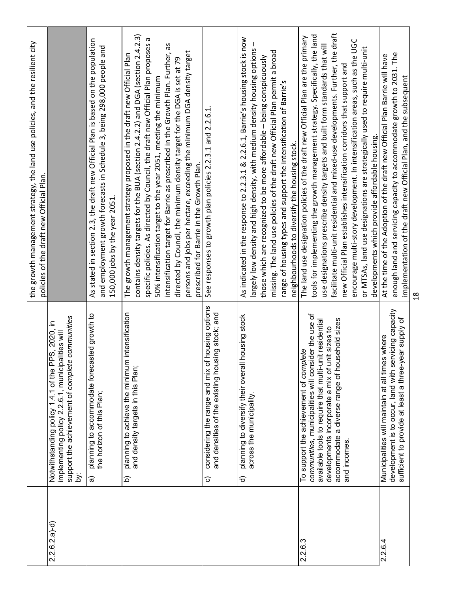|                |                                                                                                                                                                                                                                                                               | the growth management strategy, the land use policies, and the resilient city<br>policies of the draft new Official Plan.                                                                                                                                                                                                                                                                                                                                                                                                                                                                                                            |
|----------------|-------------------------------------------------------------------------------------------------------------------------------------------------------------------------------------------------------------------------------------------------------------------------------|--------------------------------------------------------------------------------------------------------------------------------------------------------------------------------------------------------------------------------------------------------------------------------------------------------------------------------------------------------------------------------------------------------------------------------------------------------------------------------------------------------------------------------------------------------------------------------------------------------------------------------------|
| $2.2.6.2.a)-d$ | implementing policy 2.2.6.1, municipalities will<br>support the achievement of complete communities<br>Notwithstanding policy 1.4.1 of the PPS, 2020, in<br>ڌھ                                                                                                                |                                                                                                                                                                                                                                                                                                                                                                                                                                                                                                                                                                                                                                      |
|                | planning to accommodate forecasted growth to<br>the horizon of this Plan;<br>$\widehat{\mathbf{e}}$                                                                                                                                                                           | As stated in section 2.3, the draft new Official Plan is based on the population<br>and employment growth forecasts in Schedule 3, being 298,000 people and<br>150,000 jobs by the year 2051.                                                                                                                                                                                                                                                                                                                                                                                                                                        |
|                | planning to achieve the minimum intensification<br>and density targets in this Plan;<br>$\widehat{\mathbf{p}}$                                                                                                                                                                | contains density targets for the BUA (section 2.4.2.2) and DGA (section 2.4.2.3)<br>specific policies. As directed by Council, the draft new Official Plan proposes a<br>intensification target for Barrie as prescribed in the Growth Plan. Further, as<br>persons and jobs per hectare, exceeding the minimum DGA density target<br>The growth management strategy proposed in the draft new Official Plan<br>directed by Council, the minimum density target for the DGA is set at 79<br>50% intensification target to the year 2051, meeting the minimum<br>prescribed for Barrie in the Growth Plan.                            |
|                | considering the range and mix of housing options<br>sing stock; and<br>and densities of the existing hou<br>$\widehat{\circ}$                                                                                                                                                 | See responses to growth plan policies 2.2.3.1 and 2.2.6.1                                                                                                                                                                                                                                                                                                                                                                                                                                                                                                                                                                            |
|                | housing stock<br>planning to diversify their overall<br>across the municipality.<br>$\widehat{\sigma}$                                                                                                                                                                        | As indicated in the response to 2.2.3.1 & 2.2.6.1, Barrie's housing stock is now<br>largely low density and high density, with medium density housing options -<br>missing. The land use policies of the draft new Official Plan permit a broad<br>those which are recognized to be more affordable - being conspicuously<br>range of housing types and support the intensification of Barrie's<br>neighbourhoods to diversify the housing stock.                                                                                                                                                                                    |
| 2.2.6.3        | communities, municipalities will consider the use of<br>accommodate a diverse range of household sizes<br>available tools to require that multi-unit residential<br>developments incorporate a mix of unit sizes to<br>To support the achievement of complete<br>and incomes. | facilitate multi-unit residential and mixed-use developments. Further, the draft<br>tools for implementing the growth management strategy. Specifically, the land<br>The land use designation policies of the draft new Official Plan are the primary<br>encourage multi-story development. In intensification areas, such as the UGC<br>use designations prescribe density targets and built form standards that will<br>or MTSAs, land use designations are strategically used to require multi-unit<br>new Official Plan establishes intensification corridors that support and<br>developments which provide affordable housing. |
| 2.2.6.4        | development is to occur, land with servicing capacity<br>sufficient to provide at least a three-year supply of<br>Municipalities will maintain at all times where                                                                                                             | enough land and servicing capacity to accommodate growth to 2031. The<br>At the time of the Adoption of the draft new Official Plan Barrie will have<br>implementation of the draft new Official Plan, and the subsequent                                                                                                                                                                                                                                                                                                                                                                                                            |
|                |                                                                                                                                                                                                                                                                               |                                                                                                                                                                                                                                                                                                                                                                                                                                                                                                                                                                                                                                      |
|                |                                                                                                                                                                                                                                                                               |                                                                                                                                                                                                                                                                                                                                                                                                                                                                                                                                                                                                                                      |
|                |                                                                                                                                                                                                                                                                               |                                                                                                                                                                                                                                                                                                                                                                                                                                                                                                                                                                                                                                      |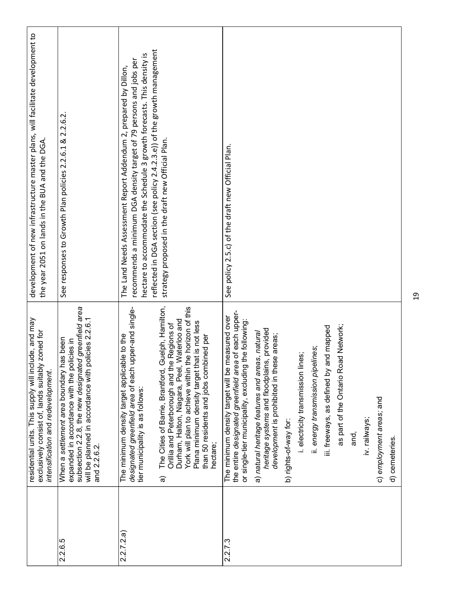|          | residential units. This supply will include, and may<br>zoned for<br>exclusively consist of, lands suitably<br>intensification and redevelopment.                                                                                                                                                                        | development of new infrastructure master plans, will facilitate development to<br>the year 2051 on lands in the BUA and the DGA.                                                                                                                                                               |
|----------|--------------------------------------------------------------------------------------------------------------------------------------------------------------------------------------------------------------------------------------------------------------------------------------------------------------------------|------------------------------------------------------------------------------------------------------------------------------------------------------------------------------------------------------------------------------------------------------------------------------------------------|
| 2.2.6.5  | subsection 2.2.8, the new designated greenfield area<br>olicies 2.2.6.1<br>When a settlement area boundary has been<br>expanded in accordance with the policies in<br>will be planned in accordance with p<br>and 2.2.6.2.                                                                                               | See responses to Growth Plan policies 2.2.6.1 & 2.2.6.2                                                                                                                                                                                                                                        |
| 2.2.7.2a | designated greenfield area of each upper-and single-<br>ble to the<br>The minimum density target applical<br>tier municipality is as follows:                                                                                                                                                                            | reflected in DGA section (see policy 2.4.2.3.e)) of the growth management<br>hectare to accommodate the Schedule 3 growth forecasts. This density is<br>recommends a minimum DGA density target of 79 persons and jobs per<br>The Land Needs Assessment Report Addendum 2, prepared by Dillon, |
|          | The Cities of Barrie, Brantford, Guelph, Hamilton,<br>York will plan to achieve within the horizon of this<br>Waterloo and<br>Plana minimum density target that is not less<br>Orillia and Peterborough and the Regions of<br>than 50 residents and jobs combined per<br>Durham, Halton, Niagara, Peel,<br>hectare;<br>ଚ | strategy proposed in the draft new Official Plan.                                                                                                                                                                                                                                              |
| 2.2.7.3  | the entire designated greenfield area of each upper-<br>The minimum density target will be measured over<br>or single-tier municipality, excluding the following:                                                                                                                                                        | See policy 2.5.c) of the draft new Official Plan.                                                                                                                                                                                                                                              |
|          | heritage systems and floodplains, provided<br>a) natural heritage features and areas, natural<br>development is prohibited in these areas;                                                                                                                                                                               |                                                                                                                                                                                                                                                                                                |
|          | b) rights-of-way for:                                                                                                                                                                                                                                                                                                    |                                                                                                                                                                                                                                                                                                |
|          | i. electricity transmission lines;                                                                                                                                                                                                                                                                                       |                                                                                                                                                                                                                                                                                                |
|          | ii. energy transmission pipelines;                                                                                                                                                                                                                                                                                       |                                                                                                                                                                                                                                                                                                |
|          | iii. freeways, as defined by and mapped                                                                                                                                                                                                                                                                                  |                                                                                                                                                                                                                                                                                                |
|          | as part of the Ontario Road Network;                                                                                                                                                                                                                                                                                     |                                                                                                                                                                                                                                                                                                |
|          | and,                                                                                                                                                                                                                                                                                                                     |                                                                                                                                                                                                                                                                                                |
|          | iv. railways;                                                                                                                                                                                                                                                                                                            |                                                                                                                                                                                                                                                                                                |
|          | c) employment areas; and                                                                                                                                                                                                                                                                                                 |                                                                                                                                                                                                                                                                                                |
|          | d) cemeteries.                                                                                                                                                                                                                                                                                                           |                                                                                                                                                                                                                                                                                                |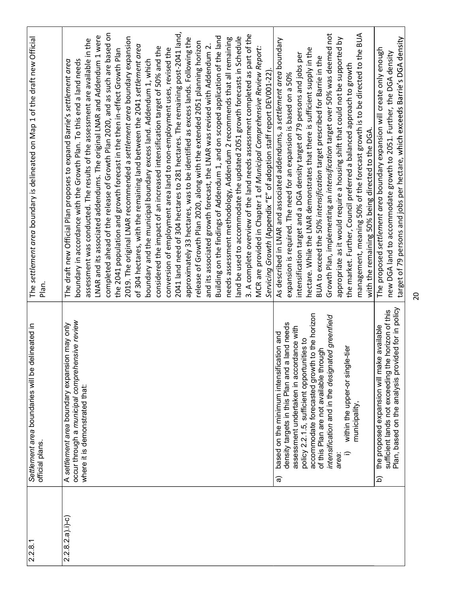| occur through a municipal comprehensive review<br>A settlement area boundary expansion may only<br>where it is demonstrated that:<br>$2.2.8.2.a).i)-c)$                                                                                                                                                                                                                                                                            |    |                                                                                                                                                                                                                                                                                                                                                                                                                                                                                                                                                                                                                                                                                                                                                                                                                                                                                                                                                                                                                                                                                                                                                                                                                                                                                                                                                                                                                                                                                                                                                                                                                                                                           |  |
|------------------------------------------------------------------------------------------------------------------------------------------------------------------------------------------------------------------------------------------------------------------------------------------------------------------------------------------------------------------------------------------------------------------------------------|----|---------------------------------------------------------------------------------------------------------------------------------------------------------------------------------------------------------------------------------------------------------------------------------------------------------------------------------------------------------------------------------------------------------------------------------------------------------------------------------------------------------------------------------------------------------------------------------------------------------------------------------------------------------------------------------------------------------------------------------------------------------------------------------------------------------------------------------------------------------------------------------------------------------------------------------------------------------------------------------------------------------------------------------------------------------------------------------------------------------------------------------------------------------------------------------------------------------------------------------------------------------------------------------------------------------------------------------------------------------------------------------------------------------------------------------------------------------------------------------------------------------------------------------------------------------------------------------------------------------------------------------------------------------------------------|--|
|                                                                                                                                                                                                                                                                                                                                                                                                                                    |    | completed ahead of the release of Growth Plan 2020, and as such are based on<br>2041 land need of 304 hectares to 281 hectares. The remaining post-2041 land,<br>3. A complete overview of the land needs assessment completed as part of the<br>LNAR and its associated addendums. The original LNAR and Addendum 1 were<br>Building on the findings of Addendum 1, and on scoped application of the land<br>2019. The original LNAR recommended a settlement area boundary expansion<br>land be used to accommodate the updated 2051 growth forecasts in Schedule<br>approximately 33 hectares, was to be identified as excess lands. Following the<br>needs assessment methodology, Addendum 2 recommends that all remaining<br>assessment was conducted. The results of the assessment are available in the<br>release of Growth Plan 2020, along with the extended 2051 planning horizon<br>of 304 hectares, with the remaining land between the 2041 settlement area<br>and its associated growth forecast, the LNAR was revised with Addendum 2.<br>MCR are provided in Chapter 1 of Municipal Comprehensive Review Report:<br>considered the impact of an increased intensification target of 50% and the<br>conversion of employment area land to non-employment uses, revised the<br>the 2041 population and growth forecast in the then in-effect Growth Plan<br>boundary in accordance with the Growth Plan. To this end a land needs<br>boundary and the municipal boundary excess land. Addendum 1, which<br>The draft new Official Plan proposes to expand Barrie's settlement area<br>Servicing Growth (Appendix "E" of adoption staff report DEV001-22). |  |
| accommodate forecasted growth to the horizon<br>intensification and in the designated greenfield<br>land needs<br>assessment undertaken in accordance with<br>based on the minimum intensification and<br>policy 2.2.1.5, sufficient opportunities to<br>within the upper-or single-tier<br>of this Plan are not available through<br>density targets in this Plan and a<br>municipality,<br>$\widehat{\phantom{a}}$<br>area:<br>ಹ |    | Growth Plan, implementing an intensification target over 50% was deemed not<br>management, meaning 50% of the forecast growth is to be directed to the BUA<br>appropriate as it would require a housing shift that could not be supported by<br>As described in LNAR and associated addendums, a settlement area boundary<br>hectare. While the LNAR demonstrates that there is sufficient supply in the<br>intensification target and a DGA density target of 79 persons and jobs per<br>BUA to exceed the 50% intensification target prescribed for Barrie in the<br>the market. Further, Council preferred a balanced approach to growth<br>expansion is required. The need for an expansion is based on a 50%<br>with the remaining 50% being directed to the DGA.                                                                                                                                                                                                                                                                                                                                                                                                                                                                                                                                                                                                                                                                                                                                                                                                                                                                                                    |  |
| ded for in policy<br>sufficient lands not exceeding the horizon of this<br>the proposed expansion will make available<br>Plan, based on the analysis provi<br>$\widehat{\mathbf{p}}$                                                                                                                                                                                                                                               |    | target of 79 persons and jobs per hectare, which exceeds Barrie's DGA density<br>The proposed settlement area boundary expansion will create only enough<br>new DGA land to accommodate growth to 2051. Further, the DGA density                                                                                                                                                                                                                                                                                                                                                                                                                                                                                                                                                                                                                                                                                                                                                                                                                                                                                                                                                                                                                                                                                                                                                                                                                                                                                                                                                                                                                                          |  |
|                                                                                                                                                                                                                                                                                                                                                                                                                                    | 20 |                                                                                                                                                                                                                                                                                                                                                                                                                                                                                                                                                                                                                                                                                                                                                                                                                                                                                                                                                                                                                                                                                                                                                                                                                                                                                                                                                                                                                                                                                                                                                                                                                                                                           |  |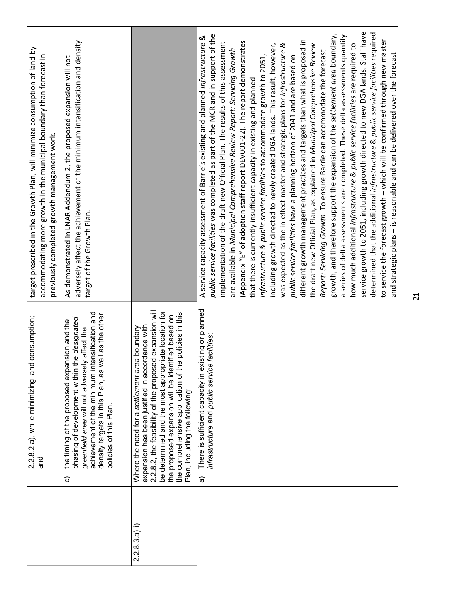| $\overline{2}$                                                                                                                                                                                                                                                                                                                                                                                                                                                                                                                                                                                                                                                                                                                                                                                                                                                                                                                                                                                                                                                                                                                                                                                                                                                                                                                                                                                                                                                                                                                                                                                                                                     |                                                                                                                                                                                                                                                                                                                                                                     |                 |
|----------------------------------------------------------------------------------------------------------------------------------------------------------------------------------------------------------------------------------------------------------------------------------------------------------------------------------------------------------------------------------------------------------------------------------------------------------------------------------------------------------------------------------------------------------------------------------------------------------------------------------------------------------------------------------------------------------------------------------------------------------------------------------------------------------------------------------------------------------------------------------------------------------------------------------------------------------------------------------------------------------------------------------------------------------------------------------------------------------------------------------------------------------------------------------------------------------------------------------------------------------------------------------------------------------------------------------------------------------------------------------------------------------------------------------------------------------------------------------------------------------------------------------------------------------------------------------------------------------------------------------------------------|---------------------------------------------------------------------------------------------------------------------------------------------------------------------------------------------------------------------------------------------------------------------------------------------------------------------------------------------------------------------|-----------------|
| service growth to 2051, including growth directed to new DGA lands. Staff have<br>determined that the additional infrastructure & public service facilities required<br>growth, and therefore support the expansion of the settlement area boundary,<br>public service facilities was completed as part of the MCR and in support of the<br>a series of delta assessments are completed. These delta assessments quantify<br>A service capacity assessment of Barrie's existing and planned infrastructure &<br>to service the forecast growth - which will be confirmed through new master<br>different growth management practices and targets than what is proposed in<br>(Appendix "E" of adoption staff report DEV001-22). The report demonstrates<br>implementation of the draft new Official Plan. The results of this assessment<br>how much additional infrastructure & public service facilities are required to<br>the draft new Official Plan, as explained in Municipal Comprehensive Review<br>was expected as the in-effect master and strategic plans for infrastructure &<br>including growth directed to newly created DGA lands. This result, however,<br>are available in Municipal Comprehensive Review Report: Servicing Growth<br>Report: Servicing Growth. To ensure Barrie can accommodate the forecast<br>and strategic plans - is reasonable and can be delivered over the forecast<br>public service facilities have a planning horizon of 2041 and are based on<br>infrastructure & public service facilities to accommodate growth to 2051,<br>that there is currently insufficient capacity in existing and planned | There is sufficient capacity in existing or planned<br>facilities:<br>infrastructure and public service<br><u>କ</u>                                                                                                                                                                                                                                                 |                 |
|                                                                                                                                                                                                                                                                                                                                                                                                                                                                                                                                                                                                                                                                                                                                                                                                                                                                                                                                                                                                                                                                                                                                                                                                                                                                                                                                                                                                                                                                                                                                                                                                                                                    | 2.2.8.2, the feasibility of the proposed expansion will<br>be determined and the most appropriate location for<br>the comprehensive application of the policies in this<br>the proposed expansion will be identified based on<br>expansion has been justified in accordance with<br>Where the need for a settlement area boundary<br>Plan, including the following: | $2.2.8.3.a) -i$ |
| adversely affect the achievement of the minimum intensification and density<br>As demonstrated in LNAR Addendum 2, the proposed expansion will not<br>target of the Growth Plan.                                                                                                                                                                                                                                                                                                                                                                                                                                                                                                                                                                                                                                                                                                                                                                                                                                                                                                                                                                                                                                                                                                                                                                                                                                                                                                                                                                                                                                                                   | achievement of the minimum intensification and<br>density targets in this Plan, as well as the other<br>policies of this Plan.<br>phasing of development within the designated<br>the timing of the proposed expansion and the<br>greenfield area will not adversely affect the<br>ි                                                                                |                 |
| target prescribed in the Growth Plan, will minimize consumption of land by<br>accommodating more growth in the municipal boundary than forecast in<br>previously completed growth management work.                                                                                                                                                                                                                                                                                                                                                                                                                                                                                                                                                                                                                                                                                                                                                                                                                                                                                                                                                                                                                                                                                                                                                                                                                                                                                                                                                                                                                                                 | 2.2.8.2 a), while minimizing land consumption;<br>and                                                                                                                                                                                                                                                                                                               |                 |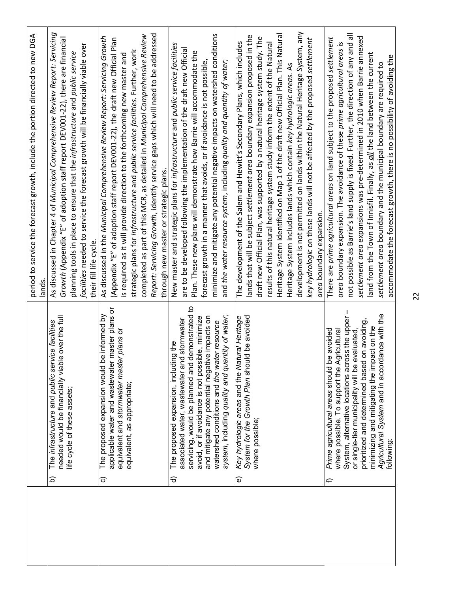|                                                                                                                                                                                                                                                                                                                                                                                | period to service the forecast growth, include the portion directed to new DGA<br>lands.                                                                                                                                                                                                                                                                                                                                                                                                                                                                                                                                                                                                  |
|--------------------------------------------------------------------------------------------------------------------------------------------------------------------------------------------------------------------------------------------------------------------------------------------------------------------------------------------------------------------------------|-------------------------------------------------------------------------------------------------------------------------------------------------------------------------------------------------------------------------------------------------------------------------------------------------------------------------------------------------------------------------------------------------------------------------------------------------------------------------------------------------------------------------------------------------------------------------------------------------------------------------------------------------------------------------------------------|
| needed would be financially viable over the full<br>vice facilities<br>The infrastructure and public ser<br>life cycle of these assets;<br>$\widehat{\Omega}$                                                                                                                                                                                                                  | As discussed in Chapter 4 of Municipal Comprehensive Review Report: Servicing<br>Growth (Appendix "E" of adoption staff report DEV001-22), there are financial<br>facilities needed to service the forecast growth will be financially viable over<br>planning tools in place to ensure that the infrastructure and public service<br>their fill life cycle.                                                                                                                                                                                                                                                                                                                              |
| applicable water and wastewater master plans or<br>be informed by<br>equivalent and stormwater master plans or<br>The proposed expansion would<br>equivalent, as appropriate;<br>စ                                                                                                                                                                                             | Report: Servicing Growth, identify service gaps which will need to be addressed<br>completed as part of this MCR, as detailed in Municipal Comprehensive Review<br>As discussed in the Municipal Comprehensive Review Report: Servicing Growth<br>(Appendix "E" of adoption staff report DEV001-22), the draft new Official Plan<br>strategic plans for infrastructure and public service facilities. Further, work<br>is required as it will provide direction to the forthcoming new master and<br>through new master or strategic plans.                                                                                                                                               |
| demonstrated to<br>system, including quality and quantity of water,<br>and mitigate any potential negative impacts on<br>avoid, or if avoidance is not possible, minimize<br>id stormwater<br>watershed conditions and the water resource<br>The proposed expansion, including the<br>associated water, wastewater an<br>servicing, would be planned and<br>$\widehat{\sigma}$ | minimize and mitigate any potential negative impacts on watershed conditions<br>New master and strategic plans for infrastructure and public service facilities<br>are to be developed following the implementation of the draft new Official<br>Plan. These new plans will demonstrate how Barrie will accommodate the<br>forecast growth in a manner that avoids, or if avoidance is not possible,<br>and the water resource system, including quality and quantity of water;                                                                                                                                                                                                           |
| System for the Growth Plan should be avoided<br>Key hydrologic areas and the Natural Heritage<br>where possible;<br>$\widehat{\mathbb{e}}$                                                                                                                                                                                                                                     | development is not permitted on lands within the Natural Heritage System, any<br>Heritage System identified on Map 1 of the draft new Official Plan. This Natural<br>lands that will be subject settlement area boundary expansion proposed in the<br>draft new Official Plan, was supported by a natural heritage system study. The<br>key hydrologic on these lands will not be affected by the proposed settlement<br>The development of the Salem and Hewitt's Secondary Plans, which includes<br>results of this natural heritage system study inform the extent of the Natural<br>Heritage System includes lands which contain key hydrologic areas. As<br>area boundary expansion. |
| System, alternative locations across the upper -<br>Agricultural System and in accordance with the<br>prioritized and determined based on avoiding,<br>minimizing and mitigating the impact on the<br>Prime agricultural areas should be avoided<br>where possible. To support the Agricultural<br>evaluated<br>or single-tier municipality will be<br>following:<br>Բ         | not possible as Barrie's land supply is fixed. Further, the direction of any and all<br>settlement area expansions was pre-determined in 2010 when Barrie annexed<br>There are prime agricultural areas on land subject to the proposed settlement<br>area boundary expansion. The avoidance of these prime agricultural areas<br>land from the Town of Innisfil. Finally, as all the land between the current<br>accommodate the forecast growth, there is no possibility of avoiding the<br>settlement area boundary and the municipal boundary are required to                                                                                                                         |
|                                                                                                                                                                                                                                                                                                                                                                                | 22                                                                                                                                                                                                                                                                                                                                                                                                                                                                                                                                                                                                                                                                                        |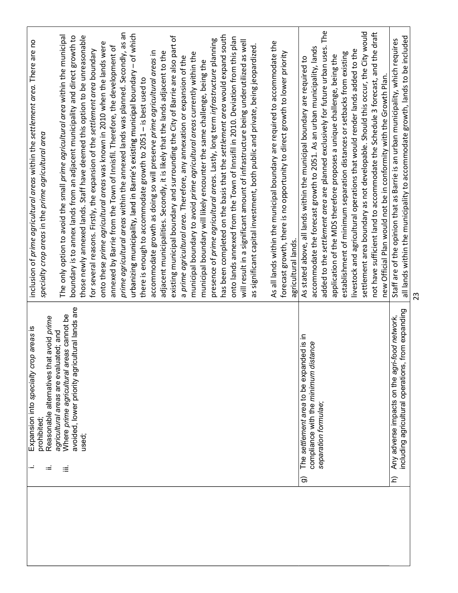| ≔             | Reasonable alternatives that avoid prime<br>Expansion into specialty crop areas is<br>prohibited;                                   | inclusion of prime agricultural areas within the settlement area. There are no<br>specialty crop areas in the prime agricultural area                                                                                                   |
|---------------|-------------------------------------------------------------------------------------------------------------------------------------|-----------------------------------------------------------------------------------------------------------------------------------------------------------------------------------------------------------------------------------------|
| ≡             | avoided, lower priority agricultural lands are<br>Where prime agricultural areas cannot be<br>agricultural areas are evaluated; and | The only option to avoid the small prime agricultural area within the municipal<br>boundary is to annex lands from an adjacent municipality and direct growth to                                                                        |
|               | used;                                                                                                                               | those newly annexed lands. Staff have deemed this option to be unreasonable<br>onto these prime agricultural areas was known in 2010 when the lands were<br>for several reasons. Firstly, the expansion of the settlement area boundary |
|               |                                                                                                                                     | prime agricultural areas within the annexed lands was planned. Secondly, as an<br>annexed by Barrie from the Town of Innisfil. Therefore, the development of                                                                            |
|               |                                                                                                                                     | urbanizing municipality, land in Barrie's existing municipal boundary - of which<br>there is enough to accommodate growth to 2051 - is best used to                                                                                     |
|               |                                                                                                                                     | accommodate growth as doing so will preserve prime agricultural areas in<br>adjacent municipalities. Secondly, it is likely that the lands adjacent to the                                                                              |
|               |                                                                                                                                     | existing municipal boundary and surrounding the City of Barrie are also part of<br>a prime agricultural area. Therefore, any annexation or expansion of the                                                                             |
|               |                                                                                                                                     | municipal boundary to avoid prime agricultural areas currently within the<br>municipal boundary will likely encounter the same challenge, being the                                                                                     |
|               |                                                                                                                                     | has been completed on the basis that the settlement area would expand south<br>presence of prime agricultural areas. Lastly, long term infrastructure planning                                                                          |
|               |                                                                                                                                     | onto lands annexed from the Town of Innsifil in 2010. Deviation from this plan                                                                                                                                                          |
|               |                                                                                                                                     | will result in a significant amount of infrastructure being underutilized as well                                                                                                                                                       |
|               |                                                                                                                                     | as significant capital investment, both public and private, being jeopardized.                                                                                                                                                          |
|               |                                                                                                                                     | As all lands within the municipal boundary are required to accommodate the                                                                                                                                                              |
|               |                                                                                                                                     | forecast growth, there is no opportunity to direct growth to lower priority<br>agricultural lands.                                                                                                                                      |
| ದ             | The settlement area to be expanded is in                                                                                            | As stated above, all lands within the municipal boundary are required to                                                                                                                                                                |
|               | compliance with the minimum distance<br>separation formulae;                                                                        | accommodate the forecast growth to 2051. As an urban municipality, lands                                                                                                                                                                |
|               |                                                                                                                                     | added to the settlement area are planned exclusively for future urban uses. The                                                                                                                                                         |
|               |                                                                                                                                     | application of the MDS therefore proposes a unique challenge, being the                                                                                                                                                                 |
|               |                                                                                                                                     | livestock and agricultural operations that would render lands added to the<br>establishment of minimum separation distances or setbacks from existing                                                                                   |
|               |                                                                                                                                     | settlement area boundary as not developable. Should this occur, the City would                                                                                                                                                          |
|               |                                                                                                                                     | not have sufficient land to accommodate the Schedule 3 forecast, and the draft                                                                                                                                                          |
|               |                                                                                                                                     | new Official Plan would not be in conformity with the Growth Plan.                                                                                                                                                                      |
| $\widehat{=}$ | from expanding<br>Any adverse impacts on the agri-food network,<br>including agricultural operations,                               | all lands within the municipality to accommodate growth, lands to be included<br>Staff are of the opinion that as Barrie is an urban municipality, which requires                                                                       |
|               |                                                                                                                                     | 23                                                                                                                                                                                                                                      |
|               |                                                                                                                                     |                                                                                                                                                                                                                                         |
|               |                                                                                                                                     |                                                                                                                                                                                                                                         |
|               |                                                                                                                                     |                                                                                                                                                                                                                                         |
|               |                                                                                                                                     |                                                                                                                                                                                                                                         |
|               |                                                                                                                                     |                                                                                                                                                                                                                                         |
|               |                                                                                                                                     |                                                                                                                                                                                                                                         |
|               |                                                                                                                                     |                                                                                                                                                                                                                                         |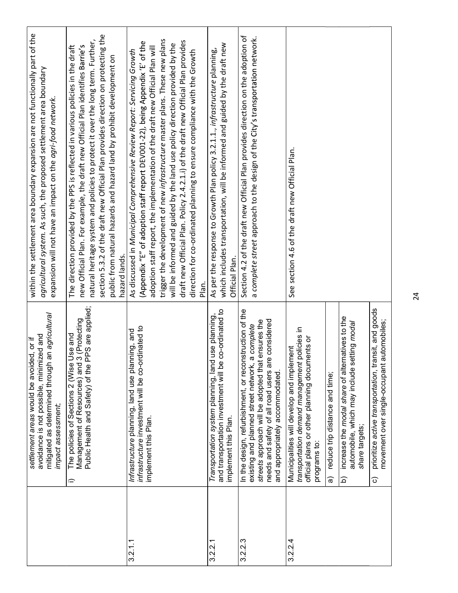|               | an agricultural<br>avoidance is not possible, minimized and<br>settlement areas would be avoided, or if<br>mitigated as determined through<br>impact assessment,                                                                                              | within the settlement area boundary expansion are not functionally part of the<br>agricultural system. As such, the proposed settlement area boundary<br>expansion will not have an impact on the agri-food network.                                                                                                                                                                                                                                                                                                                                                               |
|---------------|---------------------------------------------------------------------------------------------------------------------------------------------------------------------------------------------------------------------------------------------------------------|------------------------------------------------------------------------------------------------------------------------------------------------------------------------------------------------------------------------------------------------------------------------------------------------------------------------------------------------------------------------------------------------------------------------------------------------------------------------------------------------------------------------------------------------------------------------------------|
| $\hat{=}$     | PPS are applied;<br>3 (Protecting<br>Use and<br>The policies of Sections 2 (Wise<br>Management of Resources) and<br>Public Health and Safety) of the                                                                                                          | section 5.3.2 of the draft new Official Plan provides direction on protecting the<br>natural heritage system and policies to protect it over the long term. Further,<br>new Official Plan. For example, the draft new Official Plan identifies Barrie's<br>The direction provided by the PPS is reflected in various policies in the draft<br>public from natural hazards and hazard land by prohibit development on<br>hazard lands.                                                                                                                                              |
|               | infrastructure investment will be co-ordinated to<br>nning, and<br>Infrastructure planning, land use plan<br>implement this Plan.                                                                                                                             | trigger the development of new infrastructure master plans. These new plans<br>draft new Official Plan. Policy 2.4.2.1.i) of the draft new Official Plan provides<br>(Appendix "E" of adoption staff report DEV001-22), being Appendix 'E' of the<br>will be informed and guided by the land use policy direction provided by the<br>adoption staff report, the implementation of the draft new Official Plan will<br>direction for co-ordinated planning to ensure compliance with the Growth<br>As discussed in Municipal Comprehensive Review Report: Servicing Growth<br>Plan. |
|               | co-ordinated to<br>Transportation system planning, land use planning<br>and transportation investment will be<br>implement this Plan.                                                                                                                         | which includes transportation, will be informed and guided by the draft new<br>As per the response to Growth Plan policy 3.2.1.1., infrastructure planning,<br>Official Plan.                                                                                                                                                                                                                                                                                                                                                                                                      |
|               | In the design, refurbishment, or reconstruction of the<br>e considered<br>streets approach will be adopted that ensures the<br>a complete<br>needs and safety of all road users ar<br>existing and planned street network,<br>and appropriately accommodated. | Section 4.2 of the draft new Official Plan provides direction on the adoption of<br>a complete street approach to the design of the City's transportation network.                                                                                                                                                                                                                                                                                                                                                                                                                 |
| ಹ             | policies in<br>official plans or other planning documents or<br>Municipalities will develop and implement<br>transportation demand management<br>reduce trip distance and time;<br>programs to:                                                               | See section 4.6 of the draft new Official Plan.                                                                                                                                                                                                                                                                                                                                                                                                                                                                                                                                    |
| ි<br><u>ର</u> | ansit, and goods<br>increase the modal share of alternatives to the<br>automobiles;<br>etting modal<br>automobile, which may include s<br>movement over single-occupant<br>prioritize active transportation, tr<br>share targets;                             |                                                                                                                                                                                                                                                                                                                                                                                                                                                                                                                                                                                    |
|               |                                                                                                                                                                                                                                                               |                                                                                                                                                                                                                                                                                                                                                                                                                                                                                                                                                                                    |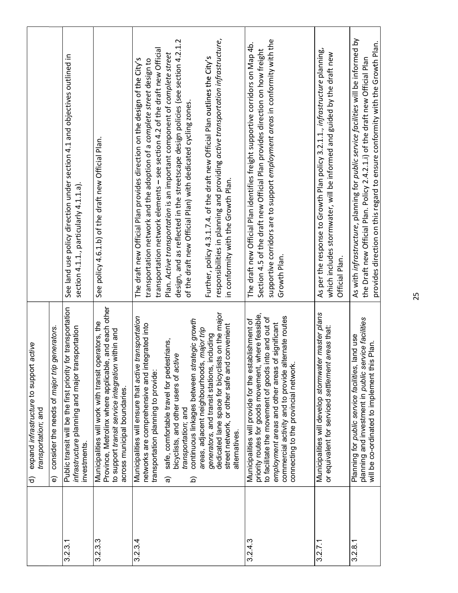|         | active<br>expand infrastructure to support<br>transportation; and<br>ଟ                                                                                                                                                                                                                                                                                                                                                                                                                                  |                                                                                                                                                                                                                                                                                                                                                                                                                                                                                                                                                                                                                                           |
|---------|---------------------------------------------------------------------------------------------------------------------------------------------------------------------------------------------------------------------------------------------------------------------------------------------------------------------------------------------------------------------------------------------------------------------------------------------------------------------------------------------------------|-------------------------------------------------------------------------------------------------------------------------------------------------------------------------------------------------------------------------------------------------------------------------------------------------------------------------------------------------------------------------------------------------------------------------------------------------------------------------------------------------------------------------------------------------------------------------------------------------------------------------------------------|
|         | consider the needs of major trip generators.<br>จ                                                                                                                                                                                                                                                                                                                                                                                                                                                       |                                                                                                                                                                                                                                                                                                                                                                                                                                                                                                                                                                                                                                           |
| 3.2.3.1 | Public transit will be the first priority for transportation<br>infrastructure planning and major transportation<br>investments.                                                                                                                                                                                                                                                                                                                                                                        | See land use policy direction under section 4.1 and objectives outlined in<br>section $4.1.1$ , particularly $4.1.1.a$ ).                                                                                                                                                                                                                                                                                                                                                                                                                                                                                                                 |
| 3.2.3.3 | Province, Metrolinx where applicable, and each other<br>Municipalities will work with transit operators, the<br>within and<br>to support transit service integration<br>across municipal boundaries.                                                                                                                                                                                                                                                                                                    | See policy 4.6.1.b) of the draft new Official Plan.                                                                                                                                                                                                                                                                                                                                                                                                                                                                                                                                                                                       |
| 3.2.3.4 | dedicated lane space for bicyclists on the major<br>transportation<br>continuous linkages between strategic growth<br>networks are comprehensive and integrated into<br>areas, adjacent neighbourhoods, major trip<br>generators, and transit stations, including<br>safe, comfortable travel for pedestrians,<br>bicyclists, and other users of active<br>Municipalities will ensure that active<br>transportation planning to provide:<br>transportation; and<br>$\widehat{\mathfrak{a}}$<br><u>ଚ</u> | responsibilities in planning and providing active transportation infrastructure,<br>design, and as reflected in the streetscape design policies (see section 4.2.1.2<br>transportation network elements - see section 4.2 of the draft new Official<br>Plan. Active transportation is an important component of complete street<br>Further, policy 4.3.1.7.4. of the draft new Official Plan outlines the City's<br>The draft new Official Plan provides direction on the design of the City's<br>transportation network and the adoption of a complete street design to<br>of the draft new Official Plan) with dedicated cycling zones. |
|         | convenient<br>street network, or other safe and<br>alternatives.                                                                                                                                                                                                                                                                                                                                                                                                                                        | in conformity with the Growth Plan.                                                                                                                                                                                                                                                                                                                                                                                                                                                                                                                                                                                                       |
| 3.2.4.3 | where feasible,<br>commercial activity and to provide alternate routes<br>to facilitate the movement of goods into and out of<br>Municipalities will provide for the establishment of<br>employment areas and other areas of significant<br>connecting to the provincial network.<br>priority routes for goods movement,                                                                                                                                                                                | supportive corridors are to support employment areas in conformity with the<br>The draft new Official Plan identifies freight supportive corridors on Map 4b.<br>Section 4.5 of the draft new Official Plan provides direction on how freight<br>Growth Plan.                                                                                                                                                                                                                                                                                                                                                                             |
| 3.2.7.1 | Municipalities will develop stormwater master plans<br>areas that:<br>or equivalent for serviced settlement                                                                                                                                                                                                                                                                                                                                                                                             | As per the response to Growth Plan policy 3.2.1.1., infrastructure planning,<br>which includes stormwater, will be informed and guided by the draft new<br>Official Plan.                                                                                                                                                                                                                                                                                                                                                                                                                                                                 |
| 3.2.8.1 | planning and investment in public service facilities<br>land use<br>will be co-ordinated to implement this Plan.<br>Planning for public service facilities,                                                                                                                                                                                                                                                                                                                                             | As with infrastructure, planning for public service facilities will be informed by<br>provides direction on this regard to ensure conformity with the Growth Plan.<br>the Draft new Official Plan. Policy 2.4.2.1.i) of the draft new Official Plan                                                                                                                                                                                                                                                                                                                                                                                       |
|         |                                                                                                                                                                                                                                                                                                                                                                                                                                                                                                         | 25                                                                                                                                                                                                                                                                                                                                                                                                                                                                                                                                                                                                                                        |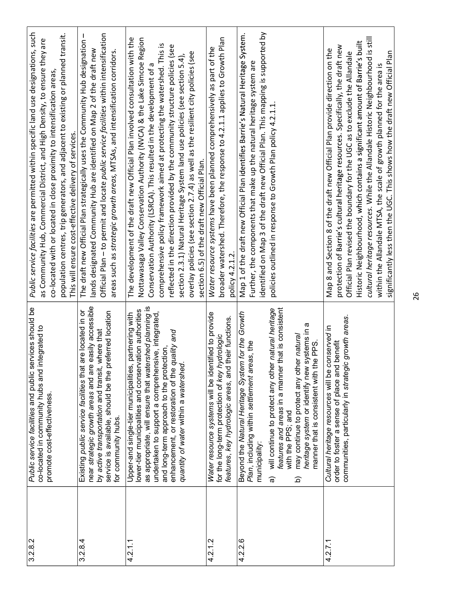| 3.2.8.2 | Public service facilities and public services should be<br>co-located in community hubs and integrated to<br>promote cost-effectiveness.                                                                                                                                                                                                                                                                                    | Public service facilities are permitted within specific land use designations, such<br>population centres, trip generators, and adjacent to existing or planned transit.<br>as Community Hub, Commercial District, and High Density, to ensure they are<br>co-located with or located in close proximity to intensification areas,<br>This will ensure cost-effective delivery of services.                                                                                                                                                                                                                         |
|---------|-----------------------------------------------------------------------------------------------------------------------------------------------------------------------------------------------------------------------------------------------------------------------------------------------------------------------------------------------------------------------------------------------------------------------------|---------------------------------------------------------------------------------------------------------------------------------------------------------------------------------------------------------------------------------------------------------------------------------------------------------------------------------------------------------------------------------------------------------------------------------------------------------------------------------------------------------------------------------------------------------------------------------------------------------------------|
| 3.2.8.4 | near strategic growth areas and are easily accessible<br>are located in or<br>service is available, should be the preferred location<br>by active transportation and transit, where that<br>Existing public service facilities that<br>for community hubs.                                                                                                                                                                  | Official Plan - to permit and locate public service facilities within intensification<br>The draft new Official Plan strategically uses the Community Hub designation -<br>lands designated Community Hub are identified on Map 2 of the draft new<br>areas such as strategic growth areas, MTSAs, and intensification corridors.                                                                                                                                                                                                                                                                                   |
| 4.2.1.1 | as appropriate, will ensure that watershed planning is<br>lower-tier municipalities and conservation authorities<br>undertaken to support a comprehensive, integrated,<br>partnering with<br>enhancement, or restoration of the quality and<br>and long-term approach to the protection,<br>Upper-and single-tier municipalities,<br>quantity of water within a watershed                                                   | Nottawasaga Valley Conservation Authority (NVCA) & the Lake Simcoe Region<br>The development of the draft new Official Plan involved consultation with the<br>comprehensive policy framework aimed at protecting the watershed. This is<br>reflected in the direction provided by the community structure policies (see<br>overlay policies (see section 2.7.4) as well as the resilient city policies (see<br>section 2.3.1) Natural Heritage System land use policies (see section 5.4),<br>Conservation Authority (LSRCA). This resulted in the development of a<br>section 6.5) of the draft new Official Plan. |
| 4.2.1.2 | Water resource systems will be identified to provide<br>features, key hydrologic areas, and their functions.<br>for the long-term protection of key hydrologic                                                                                                                                                                                                                                                              | broader watershed. Therefore, the response to 4.2.1.1 applies to Growth Plan<br>Water resource systems have been planned comprehensively as part of the<br>policy 4.2.1.2.                                                                                                                                                                                                                                                                                                                                                                                                                                          |
| 4.2.2.6 | that is consistent<br>will continue to protect any other natural heritage<br>Beyond the Natural Heritage System for the Growth<br>heritage system or identify new systems in a<br>may continue to protect any other natural<br>manner that is consistent with the PPS.<br>Plan, including within settlement areas, the<br>features and areas in a manner<br>with the PPS; and<br>municipality:<br>ଚ୍ଚ<br>$\widehat{\Omega}$ | identified on Map 3 of the draft new Official Plan. This mapping is supported by<br>Map 1 of the draft new Official Plan identifies Barrie's Natural Heritage System.<br>Further, the components that make up the natural heritage system are<br>policies outlined in response to Growth Plan policy 4.2.1.1.                                                                                                                                                                                                                                                                                                       |
| 4.2.7.1 | communities, particularly in strategic growth areas.<br>Cultural heritage resources will be conserved in<br>order to foster a sense of place and benefit                                                                                                                                                                                                                                                                    | cultural heritage resources. While the Allandale Historic Neighbourhood is still<br>Historic Neighbourhood, which contains a significant amount of Barrie's built<br>protection of Barrie's cultural heritage resources. Specifically, the draft new<br>Map 8 and Section 8 of the draft new Official Plan provide direction on the<br>significantly less then the UGC. This shows how the draft new Official Plan<br>Official Plan revised the boundary for the UGC as to exclude the Allandale<br>within the Allandale MTSA, the scale of growth planned for the area is                                          |
|         |                                                                                                                                                                                                                                                                                                                                                                                                                             | 26                                                                                                                                                                                                                                                                                                                                                                                                                                                                                                                                                                                                                  |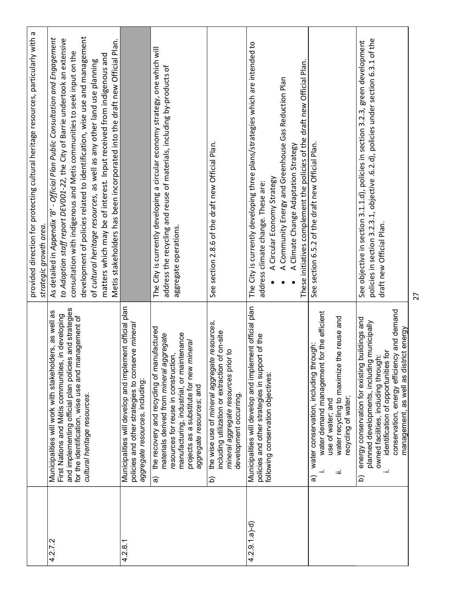| 27                                                                                                                                                                                                                                                                                                                                                                                                                                                                                                                                                       |                                                                                                                                                                                                                                                                                                |                  |
|----------------------------------------------------------------------------------------------------------------------------------------------------------------------------------------------------------------------------------------------------------------------------------------------------------------------------------------------------------------------------------------------------------------------------------------------------------------------------------------------------------------------------------------------------------|------------------------------------------------------------------------------------------------------------------------------------------------------------------------------------------------------------------------------------------------------------------------------------------------|------------------|
| policies in section 3.2.3.1, objective .6.2.d), policies under section 6.3.1 of the<br>See objective in section 3.1.1.d), policies in section 3.2.3, green development<br>draft new Official Plan.                                                                                                                                                                                                                                                                                                                                                       | conservation, energy efficiency and demand<br>energy conservation for existing buildings and<br>planned developments, including municipally<br>management, as well as district energy<br>identification of opportunities for<br>owned facilities, including through:<br>$\widehat{\mathbf{p}}$ |                  |
| See section 6.5.2 of the draft new Official Plan.                                                                                                                                                                                                                                                                                                                                                                                                                                                                                                        | water demand management for the efficient<br>water recycling to maximize the reuse and<br>water conservation, including through:<br>recycling of water;<br>use of water; and<br>≔<br>ଚ                                                                                                         |                  |
| These initiatives complement the policies of the draft new Official Plan.<br>A Climate Change Adaptation Strategy                                                                                                                                                                                                                                                                                                                                                                                                                                        |                                                                                                                                                                                                                                                                                                |                  |
| The City is currently developing three plans/strategies which are intended to<br>A Community Energy and Greenhouse Gas Reduction Plan<br>A Circular Economy Strategy<br>address climate change. These are:                                                                                                                                                                                                                                                                                                                                               | Municipalities will develop and implement official plan<br>policies and other strategies in support of the<br>following conservation objectives:                                                                                                                                               | $4.2.9.1.a)$ -d) |
| See section 2.8.6 of the draft new Official Plan.                                                                                                                                                                                                                                                                                                                                                                                                                                                                                                        | the wise use of mineral aggregate resources,<br>including utilization or extraction of on-site<br>mineral aggregate resources prior to<br>development occurring.<br>$\widehat{\mathbf{p}}$                                                                                                     |                  |
| The City is currently developing a circular economy strategy, one which will<br>address the recycling and reuse of materials, including by-products of<br>aggregate operations.                                                                                                                                                                                                                                                                                                                                                                          | the recovery and recycling of manufactured<br>manufacturing, industrial, or maintenance<br>materials derived from mineral aggregate<br>projects as a substitute for new mineral<br>resources for reuse in construction,<br>aggregate resources; and<br>କ                                       |                  |
|                                                                                                                                                                                                                                                                                                                                                                                                                                                                                                                                                          | Municipalities will develop and implement official plan<br>policies and other strategies to conserve mineral<br>aggregate resources, including:                                                                                                                                                | 4.2.8.1          |
| development of policies related to identification, wise use and management<br>As detailed in Appendix 'B' - Official Plan Public Consultation and Engagement<br>to Adoption staff report DEV001-22, the City of Barrie undertook an extensive<br>Metis stakeholders has been incorporated into the draft new Official Plan.<br>consultation with indigenous and Metis communities to seek input on the<br>matters which may be of interest. Input received from indigenous and<br>of cultural heritage resources, as well as any other land use planning | and implementing official plan policies and strategies<br>Municipalities will work with stakeholders, as well as<br>First Nations and Métis communities, in developing<br>for the identification, wise use and management of<br>cultural heritage resources.                                   | 4.2.7.2          |
| provided direction for protecting cultural heritage resources, particularly with a<br>strategic growth area.                                                                                                                                                                                                                                                                                                                                                                                                                                             |                                                                                                                                                                                                                                                                                                |                  |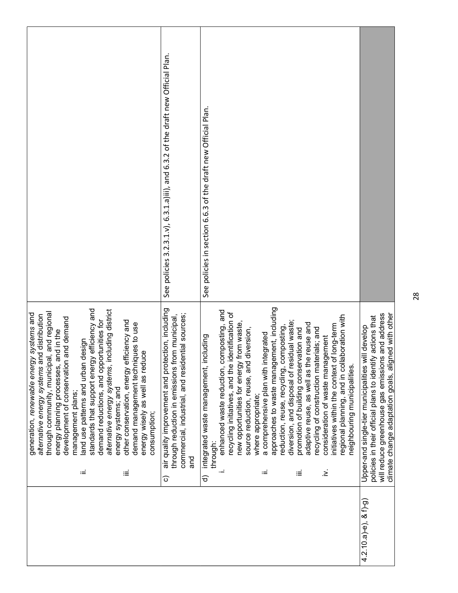| approaches to waste management, including<br>ection, including<br>standards that support energy efficiency and<br>including district<br>enhanced waste reduction, composting, and<br>through community, municipal, and regional<br>identification of<br>will reduce greenhouse gas emissions and address<br>generation, renewable energy systems and<br>through reduction in emissions from municipal,<br>ential sources;<br>alternative energy systems and distribution<br>laboration with<br>policies in their official plans to identify actions that<br>development of conservation and demand<br>demand reductions, and opportunities for<br>other conservation, energy efficiency and<br>diversion, and disposal of residual waste;<br>demand management techniques to use<br>new opportunities for energy from waste,<br>le reuse and<br>of long-term<br>reduction, reuse, recycling, composting,<br>Upper-and single-tier municipalities will develop<br>recycling of construction materials; and<br>promotion of building conservation and<br>source reduction, reuse, and diversion,<br>and in the<br>a comprehensive plan with integrated<br>consideration of waste management<br>including<br>design<br>energy wisely as well as reduce<br>land use patterns and urban<br>commercial, industrial, and resid<br>adaptive reuse, as well as th<br>regional planning, and in coll<br>air quality improvement and prot<br>recycling initiatives, and the<br>initiatives within the context<br>energy planning processes,<br>neighbouring municipalities.<br>alternative energy systems,<br>integrated waste management,<br>energy systems; and<br>management plans;<br>where appropriate;<br>consumption;<br>through:<br>ang<br>.ٰ<br>≤<br>$\coloneqq$<br>≔<br>≡<br>≔<br>ଚ<br>$\widehat{\circ}$<br>$4.2.10.a$ )-e), & f)-g) | See policies 3.2.3.1.v), 6.3.1.a)iii), and 6.3.2 of the draft new Official Plan. | See policies in section 6.6.3 of the draft new Official Plan. |                                                     |
|-------------------------------------------------------------------------------------------------------------------------------------------------------------------------------------------------------------------------------------------------------------------------------------------------------------------------------------------------------------------------------------------------------------------------------------------------------------------------------------------------------------------------------------------------------------------------------------------------------------------------------------------------------------------------------------------------------------------------------------------------------------------------------------------------------------------------------------------------------------------------------------------------------------------------------------------------------------------------------------------------------------------------------------------------------------------------------------------------------------------------------------------------------------------------------------------------------------------------------------------------------------------------------------------------------------------------------------------------------------------------------------------------------------------------------------------------------------------------------------------------------------------------------------------------------------------------------------------------------------------------------------------------------------------------------------------------------------------------------------------------------------------------------------------------------------------------------------|----------------------------------------------------------------------------------|---------------------------------------------------------------|-----------------------------------------------------|
|                                                                                                                                                                                                                                                                                                                                                                                                                                                                                                                                                                                                                                                                                                                                                                                                                                                                                                                                                                                                                                                                                                                                                                                                                                                                                                                                                                                                                                                                                                                                                                                                                                                                                                                                                                                                                                     |                                                                                  |                                                               | climate change adaptation goals, aligned with other |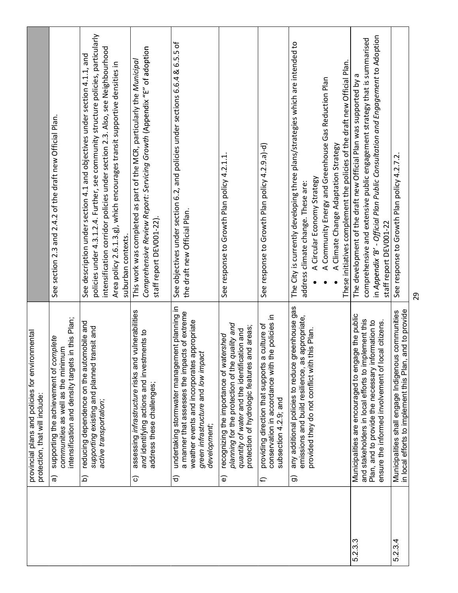|                                                                                   | See section 2.3 and 2.4.2 of the draft new Official Plan.                                                                              | policies under 4.3.1.2.4. Further, see community structure policies, particularly<br>intensification corridor policies under section 2.3. Also, see Neighbourhood<br>See description under section 4.1 and objectives under section 4.1.1, and<br>Area policy 2.6.1.3.g), which encourages transit supportive densities in<br>suburban contexts. | Comprehensive Review Report: Servicing Growth (Appendix "E" of adoption<br>This work was completed as part of the MCR, particularly the Municipal<br>staff report DEV001-22). | See objectives under section 6.2, and policies under sections 6.6.4 & 6.5.5 of<br>the draft new Official Plan.                                                                                                             | See response to Growth Plan policy 4.2.1.1                                                                                                                                                                          | See response to Growth Plan policy 4.2.9.a)-d)                                                                                  | The City is currently developing three plans/strategies which are intended to<br>These initiatives complement the policies of the draft new Official Plan.<br>A Community Energy and Greenhouse Gas Reduction Plan<br>A Climate Change Adaptation Strategy<br>A Circular Economy Strategy<br>address climate change. These are: | in Appendix 'B' - Official Plan Public Consultation and Engagement to Adoption<br>comprehensive and extensive public engagement strategy that is summarised<br>The development of the draft new Official Plan was supported by a<br>staff report DEV001-22 | See response to Growth Plan policy 4.2.7.2.                                                                   | 29 |
|-----------------------------------------------------------------------------------|----------------------------------------------------------------------------------------------------------------------------------------|--------------------------------------------------------------------------------------------------------------------------------------------------------------------------------------------------------------------------------------------------------------------------------------------------------------------------------------------------|-------------------------------------------------------------------------------------------------------------------------------------------------------------------------------|----------------------------------------------------------------------------------------------------------------------------------------------------------------------------------------------------------------------------|---------------------------------------------------------------------------------------------------------------------------------------------------------------------------------------------------------------------|---------------------------------------------------------------------------------------------------------------------------------|---------------------------------------------------------------------------------------------------------------------------------------------------------------------------------------------------------------------------------------------------------------------------------------------------------------------------------|------------------------------------------------------------------------------------------------------------------------------------------------------------------------------------------------------------------------------------------------------------|---------------------------------------------------------------------------------------------------------------|----|
| provincial plans and policies for environmental<br>protection, that will include: | intensification and density targets in this Plan;<br>supporting the achievement of complete<br>communities as well as the minimum<br>ᢛ | reducing dependence on the automobile and<br>transit and<br>supporting existing and planned<br>active transportation;<br>$\widehat{\Omega}$                                                                                                                                                                                                      | assessing infrastructure risks and vulnerabilities<br>and identifying actions and investments to<br>address these challenges;<br>$\widehat{\circ}$                            | undertaking stormwater management planning in<br>a manner that assesses the impacts of extreme<br>weather events and incorporates appropriate<br>green infrastructure and low impact<br>development,<br>$\widehat{\sigma}$ | planning for the protection of the quality and<br>protection of hydrologic features and areas;<br>quantity of water and the identification and<br>recognizing the importance of watershed<br>$\widehat{\mathbf{e}}$ | conservation in accordance with the policies in<br>providing direction that supports a culture of<br>subsection 4.2.9; and<br>€ | any additional policies to reduce greenhouse gas<br>as appropriate,<br>provided they do not conflict with this Plan.<br>emissions and build resilience,<br>ಕಾ                                                                                                                                                                   | Municipalities are encouraged to engage the public<br>and stakeholders in local efforts to implement this<br>nformation to<br>ensure the informed involvement of local citizens.<br>Plan, and to provide the necessary                                     | in local efforts to implement this Plan, and to provide<br>Municipalities shall engage Indigenous communities |    |
|                                                                                   |                                                                                                                                        |                                                                                                                                                                                                                                                                                                                                                  |                                                                                                                                                                               |                                                                                                                                                                                                                            |                                                                                                                                                                                                                     |                                                                                                                                 |                                                                                                                                                                                                                                                                                                                                 | 5.2.3.                                                                                                                                                                                                                                                     | 5.2.3.4                                                                                                       |    |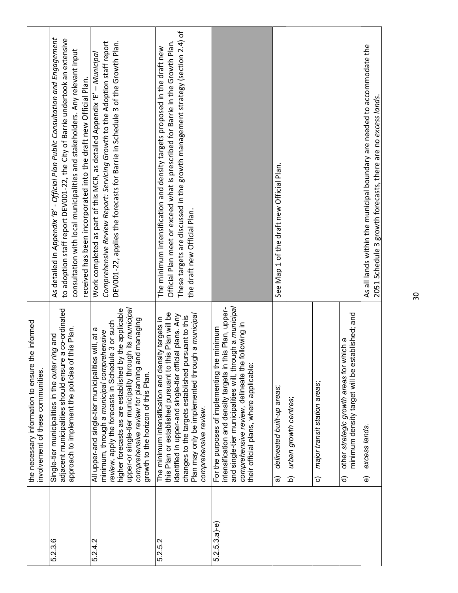|                 | the necessary information to ensure the informed<br>involvement of these communities.                                                                                                                                                                                                                                                                               |                                                                                                                                                                                                                                                                                                                    |
|-----------------|---------------------------------------------------------------------------------------------------------------------------------------------------------------------------------------------------------------------------------------------------------------------------------------------------------------------------------------------------------------------|--------------------------------------------------------------------------------------------------------------------------------------------------------------------------------------------------------------------------------------------------------------------------------------------------------------------|
| 5.2.3.6         | adjacent municipalities should ensure a co-ordinated<br>approach to implement the policies of this Plan.<br>bue bun<br>Single-tier municipalities in the outer                                                                                                                                                                                                      | As detailed in Appendix 'B' - Official Plan Public Consultation and Engagement<br>to adoption staff report DEV001-22, the City of Barrie undertook an extensive<br>consultation with local municipalities and stakeholders. Any relevant input<br>received has been incorporated into the draft new Official Plan. |
| 5.2.4.2         | upper-or single-tier municipality through its municipal<br>higher forecasts as are established by the applicable<br>comprehensive review for planning and managing<br>review, apply the forecasts in Schedule 3 or such<br>All upper-and single-tier municipalities will, at a<br>minimum, through a municipal comprehensive<br>growth to the horizon of this Plan. | DEV001-22, applies the forecasts for Barrie in Schedule 3 of the Growth Plan.<br>Comprehensive Review Report: Servicing Growth to the Adoption staff report<br>Work completed as part of this MCR, as detailed Appendix 'E' - Municipal                                                                            |
| 5.2.5.2         | this Plan or established pursuant to this Plan will be<br>Igh a municipal<br>identified in upper-and single-tier official plans. Any<br>changes to the targets established pursuant to this<br>The minimum intensification and density targets in<br>Plan may only be implemented throu<br>comprehensive review.                                                    | These targets are discussed in the growth management strategy (section 2.4) of<br>Official Plan meet or exceed what is prescribed for Barrie in the Growth Plan.<br>The minimum intensification and density targets proposed in the draft new<br>the draft new Official Plan.                                      |
| $5.2.5.3.a)-e)$ | and single-tier municipalities will, through a municipal<br>this Plan, upper-<br>comprehensive review, delineate the following in<br>For the purposes of implementing the minimum<br>intensification and density targets in<br>their official plans, where applicable:                                                                                              |                                                                                                                                                                                                                                                                                                                    |
|                 | delineated built-up areas;<br>ಹ                                                                                                                                                                                                                                                                                                                                     | See Map 1 of the draft new Official Plan.                                                                                                                                                                                                                                                                          |
|                 | urban growth centres;<br>$\widehat{\Omega}$                                                                                                                                                                                                                                                                                                                         |                                                                                                                                                                                                                                                                                                                    |
|                 | major transit station areas;<br>$\widehat{\circ}$                                                                                                                                                                                                                                                                                                                   |                                                                                                                                                                                                                                                                                                                    |
|                 | minimum density target will be established; and<br>other strategic growth areas for which a<br>$\widehat{\sigma}$                                                                                                                                                                                                                                                   |                                                                                                                                                                                                                                                                                                                    |
|                 | excess lands.<br>$\widehat{\mathbf{e}}$                                                                                                                                                                                                                                                                                                                             | As all lands within the municipal boundary are needed to accommodate the<br>2051 Schedule 3 growth forecasts, there are no excess lands.                                                                                                                                                                           |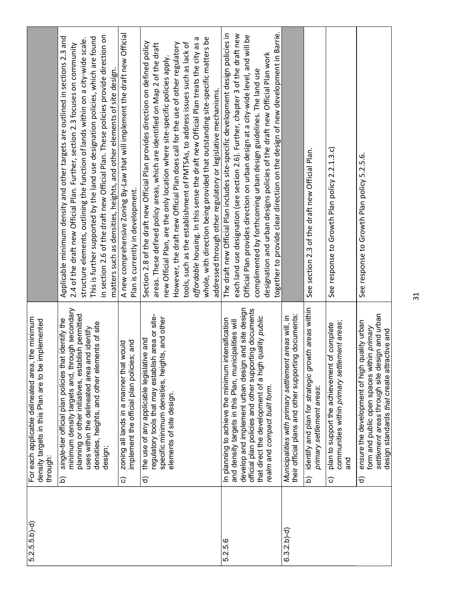| $5.2.5.5.5 - d)$ | the minimum<br>implemented<br>For each applicable delineated area,<br>density targets in this Plan are to be<br>through:                                                                                                                                                                                                  |                                                                                                                                                                                                                                                                                                                                                                                                                                                                                                                                                                                                                                                                 |
|------------------|---------------------------------------------------------------------------------------------------------------------------------------------------------------------------------------------------------------------------------------------------------------------------------------------------------------------------|-----------------------------------------------------------------------------------------------------------------------------------------------------------------------------------------------------------------------------------------------------------------------------------------------------------------------------------------------------------------------------------------------------------------------------------------------------------------------------------------------------------------------------------------------------------------------------------------------------------------------------------------------------------------|
|                  | minimum density targets and, through secondary<br>planning or other initiatives, establish permitted<br>single-tier official plan policies that identify the<br>densities, heights, and other elements of site<br>uses within the delineated area and identify<br>design;<br>$\widehat{\mathbf{p}}$                       | in section 2.6 of the draft new Official Plan. These policies provide direction on<br>Applicable minimum density and other targets are outlined in sections 2.3 and<br>This is further supported by the land use designation policies, which are found<br>structure elements, outlining the function of lands within on a city-wide scale.<br>2.4 of the draft new Official Plan. Further, section 2.3 focuses on community<br>matters such as densities, heights, and other elements of site design.                                                                                                                                                           |
|                  | implement the official plan policies; and<br>zoning all lands in a manner that would<br>ତ                                                                                                                                                                                                                                 | A new comprehensive Zoning By-Law that will implement the draft new Official<br>Plan is currently in development.                                                                                                                                                                                                                                                                                                                                                                                                                                                                                                                                               |
|                  | regulatory tools that may establish area or site-<br>specific minimum densities, heights, and other<br>the use of any applicable legislative and<br>elements of site design.<br>$\widehat{\sigma}$                                                                                                                        | whole, with direction being provided that outstanding site-specific matters be<br>Б<br>Section 2.8 of the draft new Official Plan provides direction on defined policy<br>affordable housing. In this sense the draft new Official Plan treats the city as<br>However, the draft new Official Plan does call for the use of other regulatory<br>tools, such as the establishment of PMTSAs, to address issues such as lack of<br>areas. These defined policy areas, which are identified on Map 2 of the draft<br>new Official Plan, are the only location where site-specific policies apply.<br>addressed through other regulatory or legislative mechanisms. |
| 5.2.5.6          | develop and implement urban design and site design<br>official plan policies and other supporting documents<br>quality public<br>intensification<br>and density targets in this Plan, municipalities will<br>that direct the development of a high<br>In planning to achieve the minimum<br>realm and compact built form. | together to provide clear direction on the design of new development in Barrie.<br>The draft new Official Plan includes site-specific development design policies in<br>each land use designation (see section 2.6). Further, chapter 3 of the draft new<br>Official Plan provides direction on urban design at a city-wide level, and will be<br>designation and urban designs policies of the draft new Official Plan work<br>complimented by forthcoming urban design guidelines. The land use                                                                                                                                                               |
| $6.3.2.b) - d$   | their official plans and other supporting documents:<br>Municipalities with primary settlement areas will, in                                                                                                                                                                                                             |                                                                                                                                                                                                                                                                                                                                                                                                                                                                                                                                                                                                                                                                 |
|                  | identify and plan for strategic growth areas within<br>primary settlement areas;<br>$\widehat{\Omega}$                                                                                                                                                                                                                    | See section 2.3 of the draft new Official Plan.                                                                                                                                                                                                                                                                                                                                                                                                                                                                                                                                                                                                                 |
|                  | communities within primary settlement areas;<br>plan to support the achievement of complete<br>and<br>$\widehat{\circ}$                                                                                                                                                                                                   | See response to Growth Plan policy 2.2.1.3.c)                                                                                                                                                                                                                                                                                                                                                                                                                                                                                                                                                                                                                   |
|                  | settlement areas through site design and urban<br>ensure the development of high quality urban<br>form and public open spaces within primary<br>design standards that create attractive and<br>$\widehat{\sigma}$                                                                                                         | See response to Growth Plan policy 5.2.5.6.                                                                                                                                                                                                                                                                                                                                                                                                                                                                                                                                                                                                                     |
|                  |                                                                                                                                                                                                                                                                                                                           | 31                                                                                                                                                                                                                                                                                                                                                                                                                                                                                                                                                                                                                                                              |